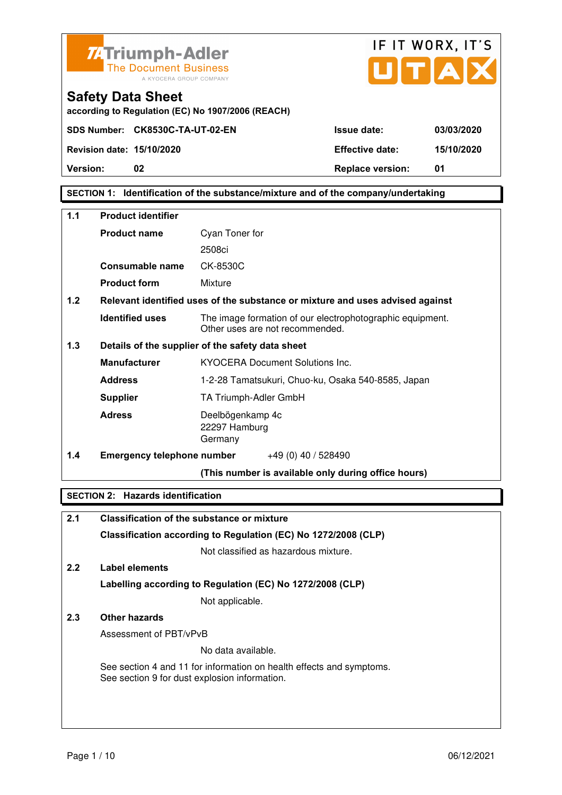



**according to Regulation (EC) No 1907/2006 (REACH)**

# **SECTION 1: Identification of the substance/mixture and of the company/undertaking**

| $1.1$ | <b>Product identifier</b>         |                                                                                              |  |  |
|-------|-----------------------------------|----------------------------------------------------------------------------------------------|--|--|
|       | <b>Product name</b>               | Cyan Toner for                                                                               |  |  |
|       |                                   | 2508ci                                                                                       |  |  |
|       | <b>Consumable name</b>            | CK-8530C                                                                                     |  |  |
|       | <b>Product form</b>               | Mixture                                                                                      |  |  |
| 1.2   |                                   | Relevant identified uses of the substance or mixture and uses advised against                |  |  |
|       | <b>Identified uses</b>            | The image formation of our electrophotographic equipment.<br>Other uses are not recommended. |  |  |
| 1.3   |                                   | Details of the supplier of the safety data sheet                                             |  |  |
|       | <b>Manufacturer</b>               | <b>KYOCERA Document Solutions Inc.</b>                                                       |  |  |
|       | <b>Address</b>                    | 1-2-28 Tamatsukuri, Chuo-ku, Osaka 540-8585, Japan                                           |  |  |
|       | <b>Supplier</b>                   | TA Triumph-Adler GmbH                                                                        |  |  |
|       | <b>Adress</b>                     | Deelbögenkamp 4c<br>22297 Hamburg<br>Germany                                                 |  |  |
| 1.4   | <b>Emergency telephone number</b> | $+49(0)$ 40 / 528490                                                                         |  |  |
|       |                                   | (This number is available only during office hours)                                          |  |  |

#### **SECTION 2: Hazards identification**

| 2.1 | <b>Classification of the substance or mixture</b>                                                                     |
|-----|-----------------------------------------------------------------------------------------------------------------------|
|     | Classification according to Regulation (EC) No 1272/2008 (CLP)                                                        |
|     | Not classified as hazardous mixture.                                                                                  |
| 2.2 | Label elements                                                                                                        |
|     | Labelling according to Regulation (EC) No 1272/2008 (CLP)                                                             |
|     | Not applicable.                                                                                                       |
| 2.3 | Other hazards                                                                                                         |
|     | Assessment of PBT/vPvB                                                                                                |
|     | No data available.                                                                                                    |
|     | See section 4 and 11 for information on health effects and symptoms.<br>See section 9 for dust explosion information. |
|     |                                                                                                                       |
|     |                                                                                                                       |
|     |                                                                                                                       |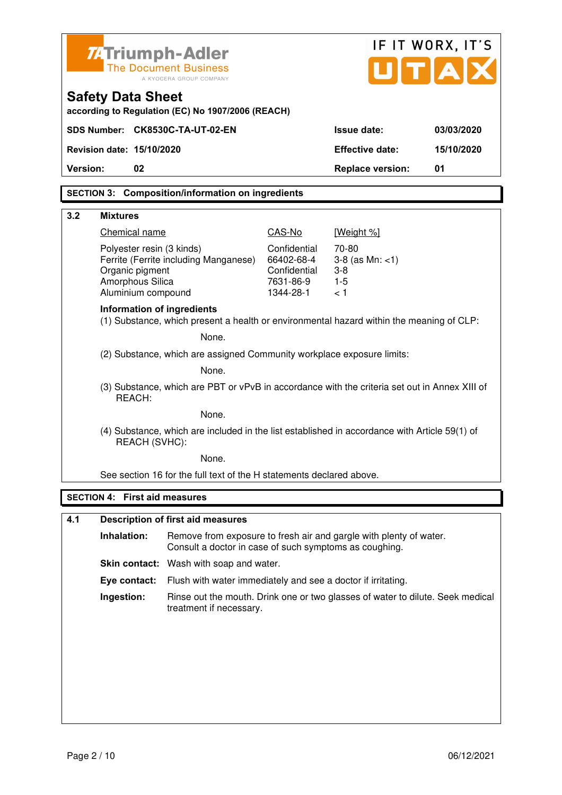|                                                                                                         | <b>ZATriumph-Adler</b>                                                                                                 | IF IT WORX, IT'S                                                                                          |                                                                    |            |
|---------------------------------------------------------------------------------------------------------|------------------------------------------------------------------------------------------------------------------------|-----------------------------------------------------------------------------------------------------------|--------------------------------------------------------------------|------------|
|                                                                                                         | <b>The Document Business</b><br>A KYOCERA GROUP COMPANY                                                                | UTA                                                                                                       |                                                                    |            |
| <b>Safety Data Sheet</b>                                                                                | according to Regulation (EC) No 1907/2006 (REACH)                                                                      |                                                                                                           |                                                                    |            |
|                                                                                                         | SDS Number: CK8530C-TA-UT-02-EN                                                                                        |                                                                                                           | <b>Issue date:</b>                                                 | 03/03/2020 |
| Revision date: 15/10/2020                                                                               |                                                                                                                        |                                                                                                           | <b>Effective date:</b>                                             | 15/10/2020 |
| Version:                                                                                                | 02                                                                                                                     |                                                                                                           | <b>Replace version:</b>                                            | 01         |
|                                                                                                         | <b>SECTION 3: Composition/information on ingredients</b>                                                               |                                                                                                           |                                                                    |            |
| 3.2<br><b>Mixtures</b>                                                                                  |                                                                                                                        |                                                                                                           |                                                                    |            |
|                                                                                                         | Chemical name                                                                                                          | CAS-No                                                                                                    | [Weight %]                                                         |            |
|                                                                                                         | Polyester resin (3 kinds)                                                                                              | Confidential                                                                                              | 70-80                                                              |            |
|                                                                                                         | Ferrite (Ferrite including Manganese)                                                                                  | 66402-68-4                                                                                                | $3-8$ (as Mn: $<1$ )                                               |            |
|                                                                                                         | Organic pigment<br>Amorphous Silica                                                                                    | Confidential<br>7631-86-9                                                                                 | $3 - 8$<br>$1 - 5$                                                 |            |
|                                                                                                         | Aluminium compound                                                                                                     | 1344-28-1                                                                                                 | < 1                                                                |            |
|                                                                                                         | Information of ingredients<br>(1) Substance, which present a health or environmental hazard within the meaning of CLP: |                                                                                                           |                                                                    |            |
|                                                                                                         | None.                                                                                                                  |                                                                                                           |                                                                    |            |
| (2) Substance, which are assigned Community workplace exposure limits:                                  |                                                                                                                        |                                                                                                           |                                                                    |            |
| None.                                                                                                   |                                                                                                                        |                                                                                                           |                                                                    |            |
| (3) Substance, which are PBT or vPvB in accordance with the criteria set out in Annex XIII of<br>REACH: |                                                                                                                        |                                                                                                           |                                                                    |            |
| None.                                                                                                   |                                                                                                                        |                                                                                                           |                                                                    |            |
|                                                                                                         | (4) Substance, which are included in the list established in accordance with Article 59(1) of<br>REACH (SVHC):         |                                                                                                           |                                                                    |            |
|                                                                                                         | None.                                                                                                                  |                                                                                                           |                                                                    |            |
|                                                                                                         | See section 16 for the full text of the H statements declared above.                                                   |                                                                                                           |                                                                    |            |
|                                                                                                         | <b>SECTION 4: First aid measures</b>                                                                                   |                                                                                                           |                                                                    |            |
| 4.1                                                                                                     | <b>Description of first aid measures</b>                                                                               |                                                                                                           |                                                                    |            |
| Inhalation:                                                                                             | Consult a doctor in case of such symptoms as coughing.                                                                 |                                                                                                           | Remove from exposure to fresh air and gargle with plenty of water. |            |
|                                                                                                         | Skin contact: Wash with soap and water.                                                                                |                                                                                                           |                                                                    |            |
|                                                                                                         | Eye contact:                                                                                                           | Flush with water immediately and see a doctor if irritating.                                              |                                                                    |            |
| Ingestion:                                                                                              |                                                                                                                        | Rinse out the mouth. Drink one or two glasses of water to dilute. Seek medical<br>treatment if necessary. |                                                                    |            |
|                                                                                                         |                                                                                                                        |                                                                                                           |                                                                    |            |
|                                                                                                         |                                                                                                                        |                                                                                                           |                                                                    |            |
|                                                                                                         |                                                                                                                        |                                                                                                           |                                                                    |            |
|                                                                                                         |                                                                                                                        |                                                                                                           |                                                                    |            |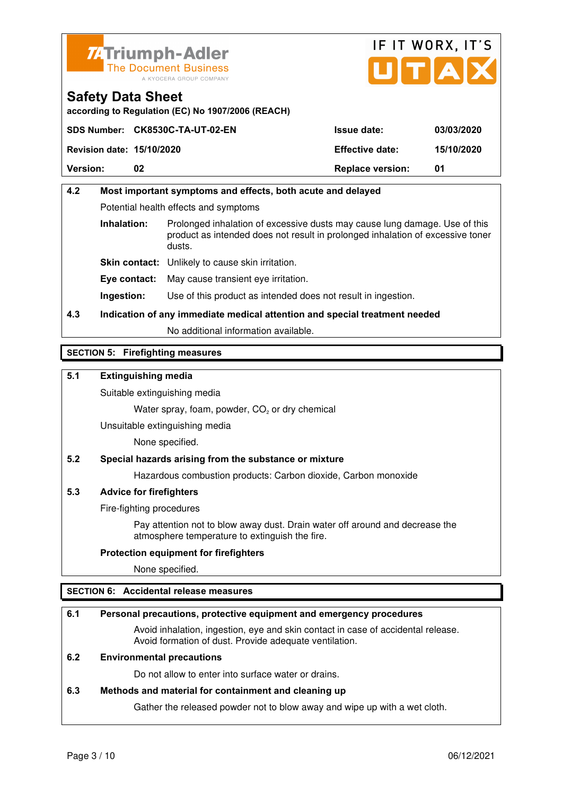



**according to Regulation (EC) No 1907/2006 (REACH)**

|                                  | SDS Number: CK8530C-TA-UT-02-EN | <b>Issue date:</b>      | 03/03/2020 |
|----------------------------------|---------------------------------|-------------------------|------------|
| <b>Revision date: 15/10/2020</b> |                                 | <b>Effective date:</b>  | 15/10/2020 |
| <b>Version:</b>                  | 02                              | <b>Replace version:</b> | 01         |

# **4.2 Most important symptoms and effects, both acute and delayed**  Potential health effects and symptoms **Inhalation:** Prolonged inhalation of excessive dusts may cause lung damage. Use of this product as intended does not result in prolonged inhalation of excessive toner dusts. **Skin contact:** Unlikely to cause skin irritation. **Eye contact:** May cause transient eye irritation.

**Ingestion:** Use of this product as intended does not result in ingestion.

# **4.3 Indication of any immediate medical attention and special treatment needed**

No additional information available.

# **SECTION 5: Firefighting measures**

## **5.1 Extinguishing media**

Suitable extinguishing media

Water spray, foam, powder,  $CO<sub>2</sub>$  or dry chemical

Unsuitable extinguishing media

None specified.

# **5.2 Special hazards arising from the substance or mixture**

Hazardous combustion products: Carbon dioxide, Carbon monoxide

#### **5.3 Advice for firefighters**

Fire-fighting procedures

 Pay attention not to blow away dust. Drain water off around and decrease the atmosphere temperature to extinguish the fire.

#### **Protection equipment for firefighters**

None specified.

# **SECTION 6: Accidental release measures**

#### **6.1 Personal precautions, protective equipment and emergency procedures**

 Avoid inhalation, ingestion, eye and skin contact in case of accidental release. Avoid formation of dust. Provide adequate ventilation.

# **6.2 Environmental precautions**

Do not allow to enter into surface water or drains.

#### **6.3 Methods and material for containment and cleaning up**

Gather the released powder not to blow away and wipe up with a wet cloth.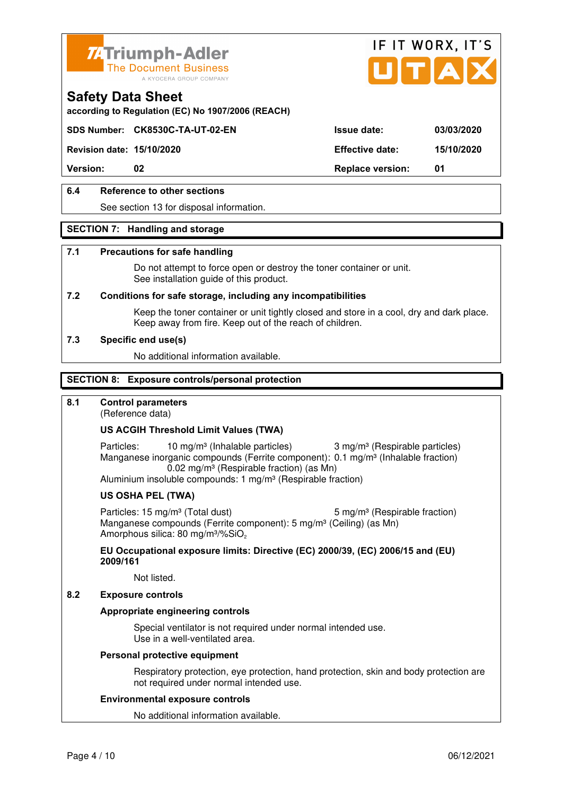



**according to Regulation (EC) No 1907/2006 (REACH)**

# **SDS Number: CK8530C-TA-UT-02-EN Issue date: 03/03/2020**

**Revision date: 15/10/2020 Effective date: 15/10/2020** 

**Version:** 02 **Replace version:** 01

# **6.4 Reference to other sections**

See section 13 for disposal information.

#### **SECTION 7: Handling and storage**

#### **7.1 Precautions for safe handling**

 Do not attempt to force open or destroy the toner container or unit. See installation guide of this product.

#### **7.2 Conditions for safe storage, including any incompatibilities**

Keep the toner container or unit tightly closed and store in a cool, dry and dark place. Keep away from fire. Keep out of the reach of children.

#### **7.3 Specific end use(s)**

No additional information available.

#### **SECTION 8: Exposure controls/personal protection**

#### **8.1 Control parameters**

(Reference data)

### **US ACGIH Threshold Limit Values (TWA)**

Particles: 10 mg/m<sup>3</sup> (Inhalable particles) 3 mg/m<sup>3</sup> (Respirable particles) Manganese inorganic compounds (Ferrite component): 0.1 mg/m<sup>3</sup> (Inhalable fraction) 0.02 mg/m³ (Respirable fraction) (as Mn)

Aluminium insoluble compounds: 1 mg/m<sup>3</sup> (Respirable fraction)

#### **US OSHA PEL (TWA)**

Particles: 15 mg/m<sup>3</sup> (Total dust) 5 mg/m<sup>3</sup> (Respirable fraction) Manganese compounds (Ferrite component): 5 mg/m<sup>3</sup> (Ceiling) (as Mn) Amorphous silica: 80 mg/m<sup>3</sup>/%SiO<sub>2</sub>

**EU Occupational exposure limits: Directive (EC) 2000/39, (EC) 2006/15 and (EU) 2009/161**

Not listed.

#### **8.2 Exposure controls**

#### **Appropriate engineering controls**

 Special ventilator is not required under normal intended use. Use in a well-ventilated area.

#### **Personal protective equipment**

 Respiratory protection, eye protection, hand protection, skin and body protection are not required under normal intended use.

#### **Environmental exposure controls**

No additional information available.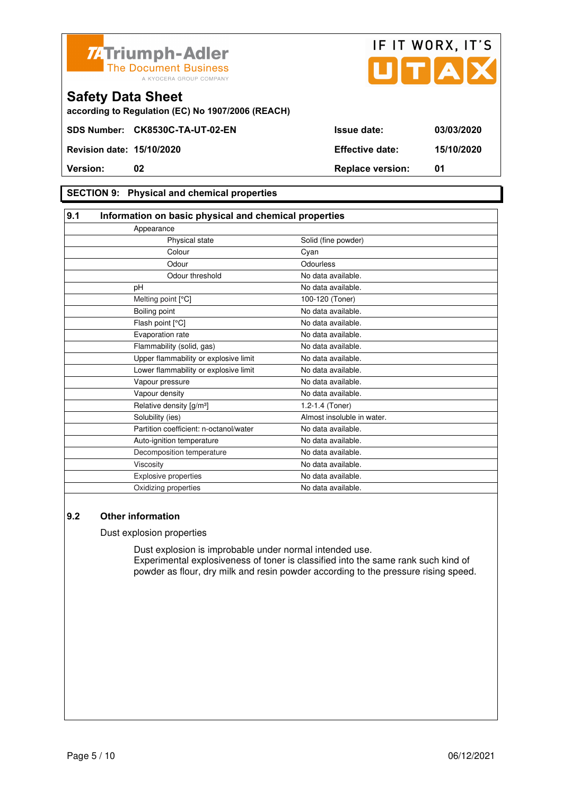



**according to Regulation (EC) No 1907/2006 (REACH)**

#### **SECTION 9: Physical and chemical properties**

#### **9.1 Information on basic physical and chemical properties** Appearance Physical state Solid (fine powder) **Colour** Colour Cyan Odour **Odourless** Odour threshold No data available. pH No data available. Melting point [°C] 100-120 (Toner) Boiling point No data available. Flash point [°C] The Contract of the Modata available. Evaporation rate No data available. Flammability (solid, gas) No data available. Upper flammability or explosive limit No data available. Lower flammability or explosive limit No data available. Vapour pressure No data available. Vapour density **No data available.** Relative density  $[g/m^3]$  1.2-1.4 (Toner) Solubility (ies) Almost insoluble in water. Partition coefficient: n-octanol/water No data available. Auto-ignition temperature No data available. Decomposition temperature No data available. Viscosity **No data available.** Explosive properties **No data available**. Oxidizing properties No data available.

#### **9.2 Other information**

Dust explosion properties

 Dust explosion is improbable under normal intended use. Experimental explosiveness of toner is classified into the same rank such kind of powder as flour, dry milk and resin powder according to the pressure rising speed.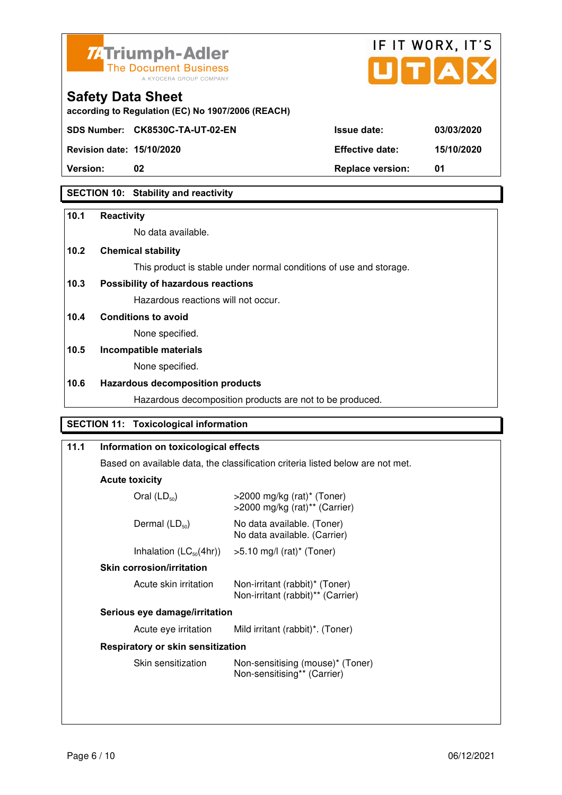



**Revision date: 15/10/2020 Effective date: 15/10/2020** 

**Safety Data Sheet** 

# **Version:** 02 **Replace version:** 01

# **SECTION 10: Stability and reactivity**

## **10.1 Reactivity**

No data available.

**according to Regulation (EC) No 1907/2006 (REACH)**

# **10.2 Chemical stability**

This product is stable under normal conditions of use and storage.

# **10.3 Possibility of hazardous reactions**

Hazardous reactions will not occur.

## **10.4 Conditions to avoid**

None specified.

# **10.5 Incompatible materials**

None specified.

# **10.6 Hazardous decomposition products**

Hazardous decomposition products are not to be produced.

# **SECTION 11: Toxicological information**

| 11.1 | Information on toxicological effects                                                         |                                                                               |  |
|------|----------------------------------------------------------------------------------------------|-------------------------------------------------------------------------------|--|
|      | Based on available data, the classification criteria listed below are not met.               |                                                                               |  |
|      | <b>Acute toxicity</b>                                                                        |                                                                               |  |
|      | Oral $(LD_{50})$                                                                             | $>$ 2000 mg/kg (rat)* (Toner)<br>$>$ 2000 mg/kg (rat) <sup>**</sup> (Carrier) |  |
|      | Dermal $(LD_{50})$                                                                           | No data available. (Toner)<br>No data available. (Carrier)                    |  |
|      | Inhalation $(LC_{50}(4hr))$<br>$>5.10$ mg/l (rat)* (Toner)                                   |                                                                               |  |
|      | <b>Skin corrosion/irritation</b>                                                             |                                                                               |  |
|      | Acute skin irritation<br>Non-irritant (rabbit)* (Toner)<br>Non-irritant (rabbit)** (Carrier) |                                                                               |  |
|      | Serious eye damage/irritation                                                                |                                                                               |  |
|      | Acute eye irritation                                                                         | Mild irritant (rabbit)*. (Toner)                                              |  |
|      | Respiratory or skin sensitization                                                            |                                                                               |  |
|      | Skin sensitization                                                                           | Non-sensitising (mouse)* (Toner)<br>Non-sensitising** (Carrier)               |  |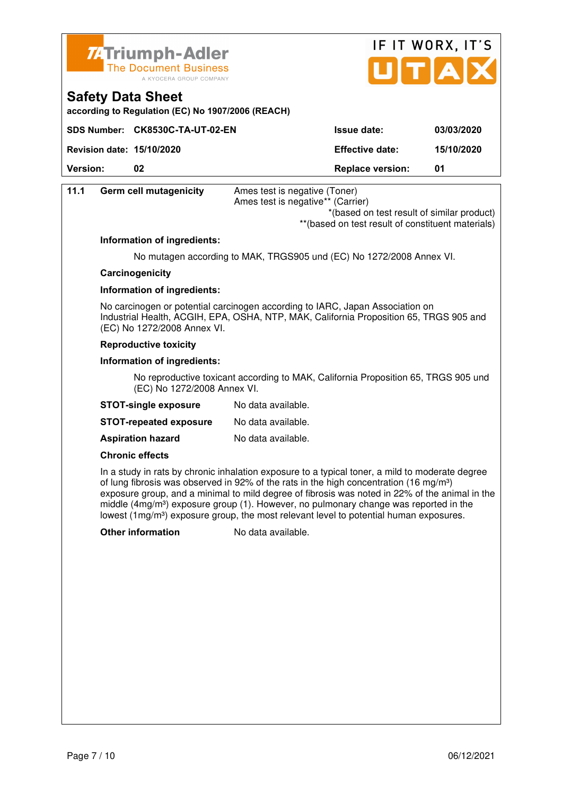



**according to Regulation (EC) No 1907/2006 (REACH)**

|                                  | SDS Number: CK8530C-TA-UT-02-EN | <b>Issue date:</b>      | 03/03/2020 |
|----------------------------------|---------------------------------|-------------------------|------------|
| <b>Revision date: 15/10/2020</b> |                                 | <b>Effective date:</b>  | 15/10/2020 |
| <b>Version:</b>                  | 02                              | <b>Replace version:</b> | -01        |

| 11.1 | Germ cell mutagenicity       | Ames test is negative (Toner)                                                                                                                                           |
|------|------------------------------|-------------------------------------------------------------------------------------------------------------------------------------------------------------------------|
|      |                              | Ames test is negative** (Carrier)                                                                                                                                       |
|      |                              | *(based on test result of similar product)                                                                                                                              |
|      |                              | ** (based on test result of constituent materials)                                                                                                                      |
|      | Information of ingredients:  |                                                                                                                                                                         |
|      |                              | No mutagen according to MAK, TRGS905 und (EC) No 1272/2008 Annex VI.                                                                                                    |
|      | Carcinogenicity              |                                                                                                                                                                         |
|      | Information of ingredients:  |                                                                                                                                                                         |
|      | (EC) No 1272/2008 Annex VI.  | No carcinogen or potential carcinogen according to IARC, Japan Association on<br>Industrial Health, ACGIH, EPA, OSHA, NTP, MAK, California Proposition 65, TRGS 905 and |
|      | <b>Reproductive toxicity</b> |                                                                                                                                                                         |
|      |                              |                                                                                                                                                                         |

#### **Information of ingredients:**

 No reproductive toxicant according to MAK, California Proposition 65, TRGS 905 und (EC) No 1272/2008 Annex VI.

| <b>STOT-single exposure</b> | No data available. |
|-----------------------------|--------------------|
|-----------------------------|--------------------|

| <b>STOT-repeated exposure</b> | No data available. |
|-------------------------------|--------------------|
|-------------------------------|--------------------|

**Aspiration hazard** No data available.

#### **Chronic effects**

 In a study in rats by chronic inhalation exposure to a typical toner, a mild to moderate degree of lung fibrosis was observed in 92% of the rats in the high concentration (16 mg/m<sup>3</sup>) exposure group, and a minimal to mild degree of fibrosis was noted in 22% of the animal in the middle  $(4mg/m<sup>3</sup>)$  exposure group (1). However, no pulmonary change was reported in the lowest (1mg/m<sup>3</sup>) exposure group, the most relevant level to potential human exposures.

**Other information** No data available.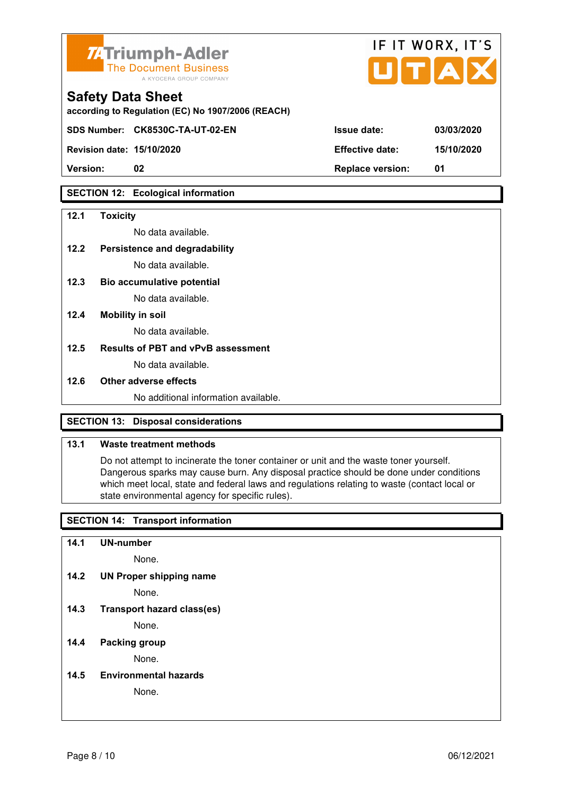

| <b>74 Triumph-Adler</b><br>The Document Business<br>A KYOCERA GROUP COMPANY   |                        | IF II WURX, II'S<br>UTAX |
|-------------------------------------------------------------------------------|------------------------|--------------------------|
| <b>Safety Data Sheet</b><br>according to Regulation (EC) No 1907/2006 (REACH) |                        |                          |
| SDS Number: CK8530C-TA-UT-02-EN                                               | <b>Issue date:</b>     | 03/03/2020               |
| <b>Revision date: 15/10/2020</b>                                              | <b>Effective date:</b> | 15/10/2020               |

 $\mathbf{r} = \mathbf{r} + \mathbf{r}$ 

 $\rightarrow$ 

**Version: 02 Replace version: 01** 

## **SECTION 12: Ecological information**

#### **12.1 Toxicity**

No data available.

## **12.2 Persistence and degradability**

No data available.

- **12.3 Bio accumulative potential**  No data available.
- **12.4 Mobility in soil**

No data available.

#### **12.5 Results of PBT and vPvB assessment**

No data available.

#### **12.6 Other adverse effects**

No additional information available.

#### **SECTION 13: Disposal considerations**

#### **13.1 Waste treatment methods**

 Do not attempt to incinerate the toner container or unit and the waste toner yourself. Dangerous sparks may cause burn. Any disposal practice should be done under conditions which meet local, state and federal laws and regulations relating to waste (contact local or state environmental agency for specific rules).

#### **SECTION 14: Transport information**

**14.1 UN-number** 

None.

**14.2 UN Proper shipping name** 

None.

**14.3 Transport hazard class(es)** 

None.

#### **14.4 Packing group**

None.

**14.5 Environmental hazards** 

None.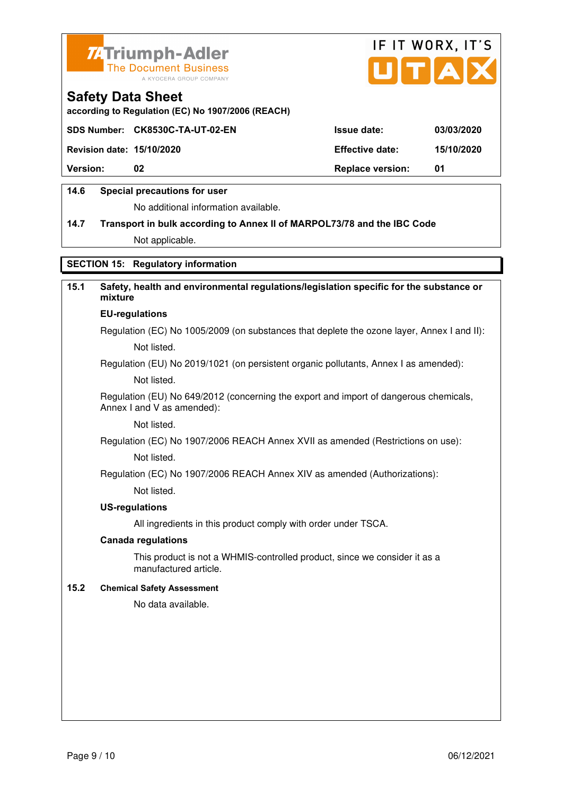



**according to Regulation (EC) No 1907/2006 (REACH)**

|                                  | SDS Number: CK8530C-TA-UT-02-EN | <b>Issue date:</b>      | 03/03/2020 |
|----------------------------------|---------------------------------|-------------------------|------------|
| <b>Revision date: 15/10/2020</b> |                                 | <b>Effective date:</b>  | 15/10/2020 |
| <b>Version:</b>                  | 02                              | <b>Replace version:</b> | - 01       |
|                                  |                                 |                         |            |

#### **14.6 Special precautions for user**

No additional information available.

# **14.7 Transport in bulk according to Annex II of MARPOL73/78 and the IBC Code**

Not applicable.

# **SECTION 15: Regulatory information**

# **15.1 Safety, health and environmental regulations/legislation specific for the substance or mixture EU-regulations**

Regulation (EC) No 1005/2009 (on substances that deplete the ozone layer, Annex I and II): Not listed.

Regulation (EU) No 2019/1021 (on persistent organic pollutants, Annex I as amended):

Not listed.

 Regulation (EU) No 649/2012 (concerning the export and import of dangerous chemicals, Annex I and V as amended):

Not listed.

 Regulation (EC) No 1907/2006 REACH Annex XVII as amended (Restrictions on use): Not listed.

Regulation (EC) No 1907/2006 REACH Annex XIV as amended (Authorizations):

Not listed.

#### **US-regulations**

All ingredients in this product comply with order under TSCA.

#### **Canada regulations**

 This product is not a WHMIS-controlled product, since we consider it as a manufactured article.

#### **15.2 Chemical Safety Assessment**

No data available.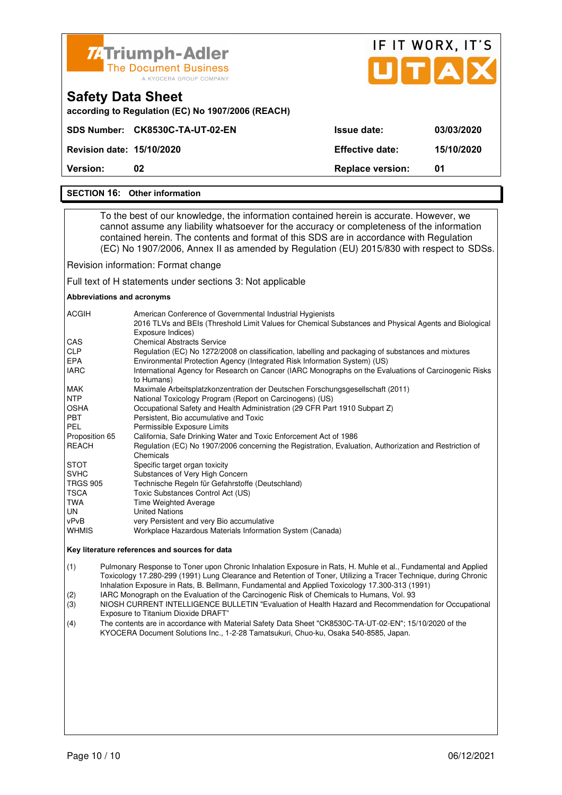| <b>74 Triumph-Adler</b><br><b>The Document Business</b><br>A KYOCERA GROUP COMPANY |                                 |                         | IF IT WORX, IT'S<br>UTAX |  |  |
|------------------------------------------------------------------------------------|---------------------------------|-------------------------|--------------------------|--|--|
| <b>Safety Data Sheet</b><br>according to Regulation (EC) No 1907/2006 (REACH)      |                                 |                         |                          |  |  |
|                                                                                    | SDS Number: CK8530C-TA-UT-02-EN | Issue date:             | 03/03/2020               |  |  |
| <b>Revision date: 15/10/2020</b>                                                   |                                 | <b>Effective date:</b>  | 15/10/2020               |  |  |
| Version:                                                                           | 02                              | <b>Replace version:</b> | 01                       |  |  |

#### **SECTION 16: Other information**

 To the best of our knowledge, the information contained herein is accurate. However, we cannot assume any liability whatsoever for the accuracy or completeness of the information contained herein. The contents and format of this SDS are in accordance with Regulation (EC) No 1907/2006, Annex II as amended by Regulation (EU) 2015/830 with respect to SDSs.

Revision information: Format change

Full text of H statements under sections 3: Not applicable

#### **Abbreviations and acronyms**

| <b>ACGIH</b>    | American Conference of Governmental Industrial Hygienists<br>2016 TLVs and BEIs (Threshold Limit Values for Chemical Substances and Physical Agents and Biological |
|-----------------|--------------------------------------------------------------------------------------------------------------------------------------------------------------------|
|                 | Exposure Indices)                                                                                                                                                  |
| CAS             | <b>Chemical Abstracts Service</b>                                                                                                                                  |
| <b>CLP</b>      | Regulation (EC) No 1272/2008 on classification, labelling and packaging of substances and mixtures                                                                 |
| EPA             | Environmental Protection Agency (Integrated Risk Information System) (US)                                                                                          |
| <b>IARC</b>     | International Agency for Research on Cancer (IARC Monographs on the Evaluations of Carcinogenic Risks<br>to Humans)                                                |
| MAK             | Maximale Arbeitsplatzkonzentration der Deutschen Forschungsgesellschaft (2011)                                                                                     |
| NTP             | National Toxicology Program (Report on Carcinogens) (US)                                                                                                           |
| <b>OSHA</b>     | Occupational Safety and Health Administration (29 CFR Part 1910 Subpart Z)                                                                                         |
| <b>PBT</b>      | Persistent, Bio accumulative and Toxic                                                                                                                             |
| PEL             | Permissible Exposure Limits                                                                                                                                        |
| Proposition 65  | California, Safe Drinking Water and Toxic Enforcement Act of 1986                                                                                                  |
| <b>REACH</b>    | Regulation (EC) No 1907/2006 concerning the Registration, Evaluation, Authorization and Restriction of                                                             |
|                 | Chemicals                                                                                                                                                          |
| <b>STOT</b>     | Specific target organ toxicity                                                                                                                                     |
| <b>SVHC</b>     | Substances of Very High Concern                                                                                                                                    |
| <b>TRGS 905</b> | Technische Regeln für Gefahrstoffe (Deutschland)                                                                                                                   |
| <b>TSCA</b>     | Toxic Substances Control Act (US)                                                                                                                                  |
| TWA             | Time Weighted Average                                                                                                                                              |
| UN.             | <b>United Nations</b>                                                                                                                                              |
| vPvB            | very Persistent and very Bio accumulative                                                                                                                          |
| <b>WHMIS</b>    | Workplace Hazardous Materials Information System (Canada)                                                                                                          |

#### **Key literature references and sources for data**

(1) Pulmonary Response to Toner upon Chronic Inhalation Exposure in Rats, H. Muhle et al., Fundamental and Applied Toxicology 17.280-299 (1991) Lung Clearance and Retention of Toner, Utilizing a Tracer Technique, during Chronic Inhalation Exposure in Rats, B. Bellmann, Fundamental and Applied Toxicology 17.300-313 (1991)

(2) IARC Monograph on the Evaluation of the Carcinogenic Risk of Chemicals to Humans, Vol. 93<br>(3) NIOSH CURRENT INTELLIGENCE BULLETIN "Evaluation of Health Hazard and Recommend

(3) NIOSH CURRENT INTELLIGENCE BULLETIN "Evaluation of Health Hazard and Recommendation for Occupational Exposure to Titanium Dioxide DRAFT"

(4) The contents are in accordance with Material Safety Data Sheet "CK8530C-TA-UT-02-EN"; 15/10/2020 of the KYOCERA Document Solutions Inc., 1-2-28 Tamatsukuri, Chuo-ku, Osaka 540-8585, Japan.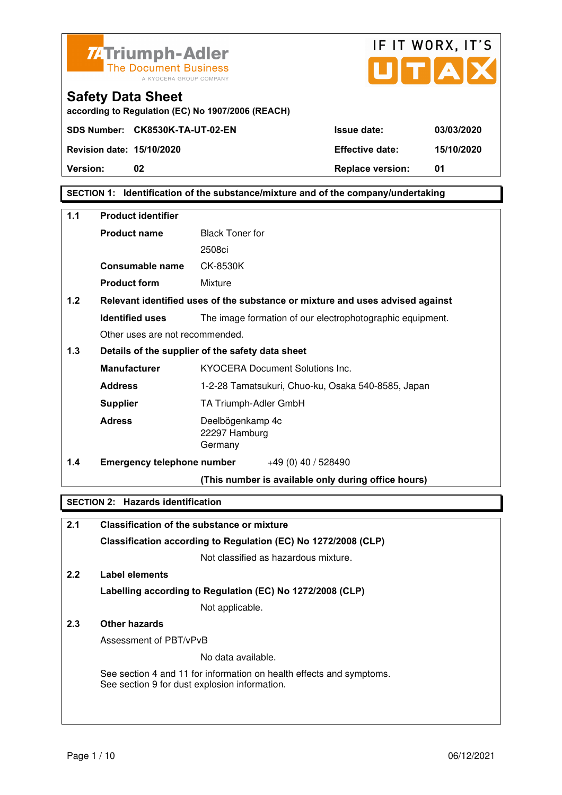



**according to Regulation (EC) No 1907/2006 (REACH)**

**Version: 02 Replace version: 01** 

# **SECTION 1: Identification of the substance/mixture and of the company/undertaking**

| $1.1$ | <b>Product identifier</b>         |                                                                               |
|-------|-----------------------------------|-------------------------------------------------------------------------------|
|       | <b>Product name</b>               | <b>Black Toner for</b>                                                        |
|       |                                   | 2508ci                                                                        |
|       | <b>Consumable name</b>            | CK-8530K                                                                      |
|       | <b>Product form</b>               | Mixture                                                                       |
| 1.2   |                                   | Relevant identified uses of the substance or mixture and uses advised against |
|       | <b>Identified uses</b>            | The image formation of our electrophotographic equipment.                     |
|       | Other uses are not recommended.   |                                                                               |
| 1.3   |                                   | Details of the supplier of the safety data sheet                              |
|       | <b>Manufacturer</b>               | <b>KYOCERA Document Solutions Inc.</b>                                        |
|       | <b>Address</b>                    | 1-2-28 Tamatsukuri, Chuo-ku, Osaka 540-8585, Japan                            |
|       | <b>Supplier</b>                   | TA Triumph-Adler GmbH                                                         |
|       | <b>Adress</b>                     | Deelbögenkamp 4c<br>22297 Hamburg<br>Germany                                  |
| 1.4   | <b>Emergency telephone number</b> | $+49(0)$ 40 / 528490                                                          |
|       |                                   | (This number is available only during office hours)                           |

#### **SECTION 2: Hazards identification**

# **2.1 Classification of the substance or mixture Classification according to Regulation (EC) No 1272/2008 (CLP)**

Not classified as hazardous mixture.

# **2.2 Label elements Labelling according to Regulation (EC) No 1272/2008 (CLP)**

Not applicable.

# **2.3 Other hazards**

Assessment of PBT/vPvB

No data available.

 See section 4 and 11 for information on health effects and symptoms. See section 9 for dust explosion information.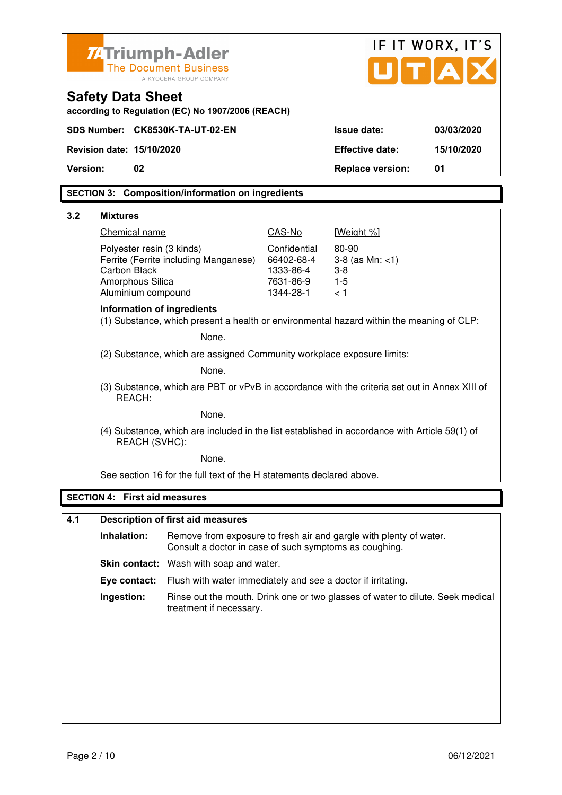| <b>ZATriumph-Adler</b>                                                              |                                                                                               |                                                                   |                                                                                | IF IT WORX, IT'S |
|-------------------------------------------------------------------------------------|-----------------------------------------------------------------------------------------------|-------------------------------------------------------------------|--------------------------------------------------------------------------------|------------------|
|                                                                                     | <b>The Document Business</b><br>A KYOCERA GROUP COMPANY                                       |                                                                   | UTA                                                                            |                  |
| <b>Safety Data Sheet</b>                                                            | according to Regulation (EC) No 1907/2006 (REACH)                                             |                                                                   |                                                                                |                  |
| SDS Number: CK8530K-TA-UT-02-EN                                                     |                                                                                               |                                                                   | <b>Issue date:</b>                                                             | 03/03/2020       |
| Revision date: 15/10/2020                                                           |                                                                                               |                                                                   | <b>Effective date:</b>                                                         | 15/10/2020       |
| 02<br>Version:                                                                      |                                                                                               |                                                                   | <b>Replace version:</b>                                                        | 01               |
|                                                                                     | <b>SECTION 3: Composition/information on ingredients</b>                                      |                                                                   |                                                                                |                  |
| 3.2<br><b>Mixtures</b>                                                              |                                                                                               |                                                                   |                                                                                |                  |
| Chemical name                                                                       |                                                                                               | CAS-No                                                            | [Weight %]                                                                     |                  |
| Polyester resin (3 kinds)<br>Carbon Black<br>Amorphous Silica<br>Aluminium compound | Ferrite (Ferrite including Manganese)                                                         | Confidential<br>66402-68-4<br>1333-86-4<br>7631-86-9<br>1344-28-1 | 80-90<br>$3-8$ (as Mn: $<1$ )<br>$3 - 8$<br>$1-5$<br>< 1                       |                  |
| Information of ingredients                                                          | (1) Substance, which present a health or environmental hazard within the meaning of CLP:      |                                                                   |                                                                                |                  |
|                                                                                     | None.                                                                                         |                                                                   |                                                                                |                  |
|                                                                                     | (2) Substance, which are assigned Community workplace exposure limits:                        |                                                                   |                                                                                |                  |
|                                                                                     | None.                                                                                         |                                                                   |                                                                                |                  |
| REACH:                                                                              | (3) Substance, which are PBT or vPvB in accordance with the criteria set out in Annex XIII of |                                                                   |                                                                                |                  |
|                                                                                     | None.                                                                                         |                                                                   |                                                                                |                  |
| REACH (SVHC):                                                                       | (4) Substance, which are included in the list established in accordance with Article 59(1) of |                                                                   |                                                                                |                  |
|                                                                                     | None.                                                                                         |                                                                   |                                                                                |                  |
|                                                                                     | See section 16 for the full text of the H statements declared above.                          |                                                                   |                                                                                |                  |
| <b>SECTION 4: First aid measures</b>                                                |                                                                                               |                                                                   |                                                                                |                  |
| 4.1                                                                                 | <b>Description of first aid measures</b>                                                      |                                                                   |                                                                                |                  |
| Inhalation:                                                                         | Consult a doctor in case of such symptoms as coughing.                                        |                                                                   | Remove from exposure to fresh air and gargle with plenty of water.             |                  |
|                                                                                     | Skin contact: Wash with soap and water.                                                       |                                                                   |                                                                                |                  |
| Eye contact:                                                                        | Flush with water immediately and see a doctor if irritating.                                  |                                                                   |                                                                                |                  |
| Ingestion:                                                                          | treatment if necessary.                                                                       |                                                                   | Rinse out the mouth. Drink one or two glasses of water to dilute. Seek medical |                  |
|                                                                                     |                                                                                               |                                                                   |                                                                                |                  |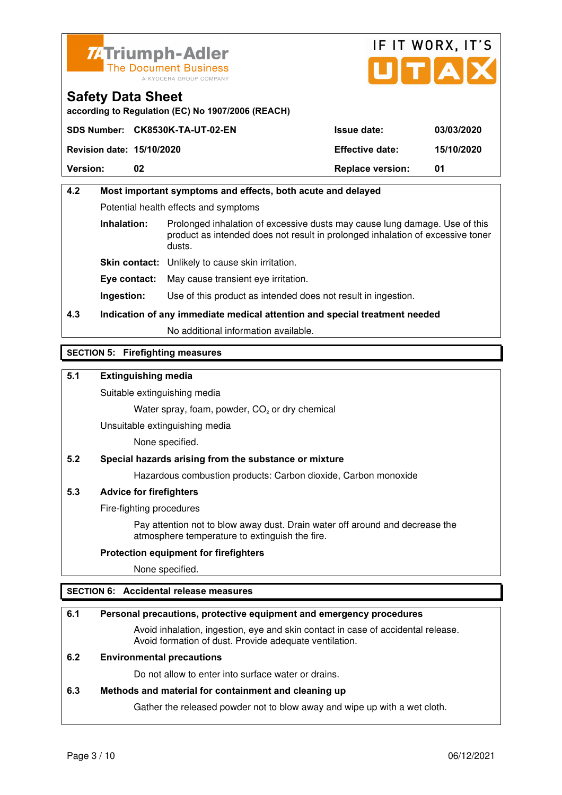



**according to Regulation (EC) No 1907/2006 (REACH)**

|                                  | SDS Number: CK8530K-TA-UT-02-EN | <b>Issue date:</b>      | 03/03/2020 |
|----------------------------------|---------------------------------|-------------------------|------------|
| <b>Revision date: 15/10/2020</b> |                                 | <b>Effective date:</b>  | 15/10/2020 |
| <b>Version:</b>                  | 02                              | <b>Replace version:</b> | 01         |

# **4.2 Most important symptoms and effects, both acute and delayed**  Potential health effects and symptoms **Inhalation:** Prolonged inhalation of excessive dusts may cause lung damage. Use of this product as intended does not result in prolonged inhalation of excessive toner dusts. **Skin contact:** Unlikely to cause skin irritation. **Eye contact:** May cause transient eye irritation.

**Ingestion:** Use of this product as intended does not result in ingestion.

# **4.3 Indication of any immediate medical attention and special treatment needed**

No additional information available.

## **SECTION 5: Firefighting measures**

## **5.1 Extinguishing media**

Suitable extinguishing media

Water spray, foam, powder,  $CO<sub>2</sub>$  or dry chemical

Unsuitable extinguishing media

None specified.

#### **5.2 Special hazards arising from the substance or mixture**

Hazardous combustion products: Carbon dioxide, Carbon monoxide

#### **5.3 Advice for firefighters**

Fire-fighting procedures

 Pay attention not to blow away dust. Drain water off around and decrease the atmosphere temperature to extinguish the fire.

#### **Protection equipment for firefighters**

None specified.

#### **SECTION 6: Accidental release measures**

#### **6.1 Personal precautions, protective equipment and emergency procedures**

 Avoid inhalation, ingestion, eye and skin contact in case of accidental release. Avoid formation of dust. Provide adequate ventilation.

#### **6.2 Environmental precautions**

Do not allow to enter into surface water or drains.

#### **6.3 Methods and material for containment and cleaning up**

Gather the released powder not to blow away and wipe up with a wet cloth.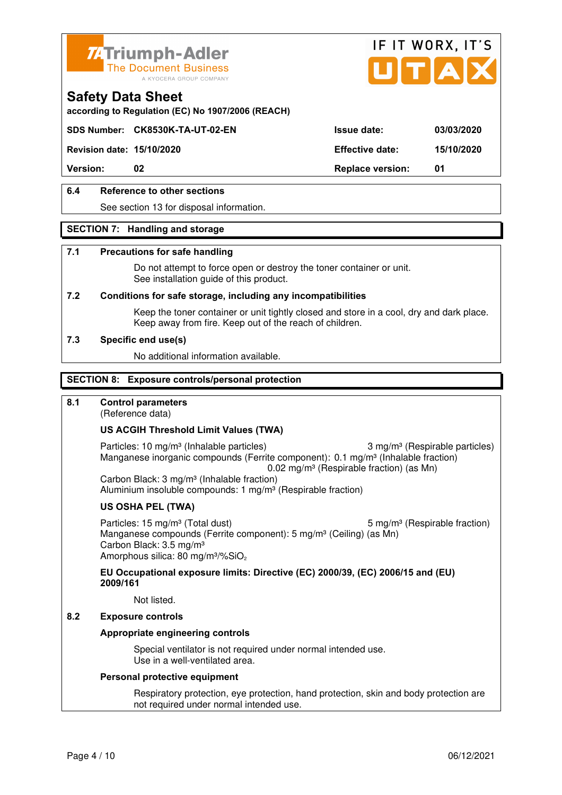



**according to Regulation (EC) No 1907/2006 (REACH)**

# **SDS Number: CK8530K-TA-UT-02-EN Issue date: 03/03/2020**

**Revision date: 15/10/2020 Effective date: 15/10/2020** 

**Version:** 02 **Replace version:** 01

# **6.4 Reference to other sections**

See section 13 for disposal information.

#### **SECTION 7: Handling and storage**

#### **7.1 Precautions for safe handling**

 Do not attempt to force open or destroy the toner container or unit. See installation guide of this product.

#### **7.2 Conditions for safe storage, including any incompatibilities**

Keep the toner container or unit tightly closed and store in a cool, dry and dark place. Keep away from fire. Keep out of the reach of children.

#### **7.3 Specific end use(s)**

No additional information available.

#### **SECTION 8: Exposure controls/personal protection**

#### **8.1 Control parameters**

(Reference data)

#### **US ACGIH Threshold Limit Values (TWA)**

Particles: 10 mg/m<sup>3</sup> (Inhalable particles) 3 mg/m<sup>3</sup> (Respirable particles) Manganese inorganic compounds (Ferrite component): 0.1 mg/m<sup>3</sup> (Inhalable fraction) 0.02 mg/m<sup>3</sup> (Respirable fraction) (as Mn)

 Carbon Black: 3 mg/m³ (Inhalable fraction) Aluminium insoluble compounds: 1 mg/m<sup>3</sup> (Respirable fraction)

#### **US OSHA PEL (TWA)**

Particles: 15 mg/m<sup>3</sup> (Total dust) 5 mg/m<sup>3</sup> (Respirable fraction) Manganese compounds (Ferrite component): 5 mg/m<sup>3</sup> (Ceiling) (as Mn) Carbon Black: 3.5 mg/m³ Amorphous silica: 80 mg/m<sup>3</sup>/%SiO<sub>2</sub>

**EU Occupational exposure limits: Directive (EC) 2000/39, (EC) 2006/15 and (EU) 2009/161**

Not listed.

#### **8.2 Exposure controls**

#### **Appropriate engineering controls**

 Special ventilator is not required under normal intended use. Use in a well-ventilated area.

#### **Personal protective equipment**

 Respiratory protection, eye protection, hand protection, skin and body protection are not required under normal intended use.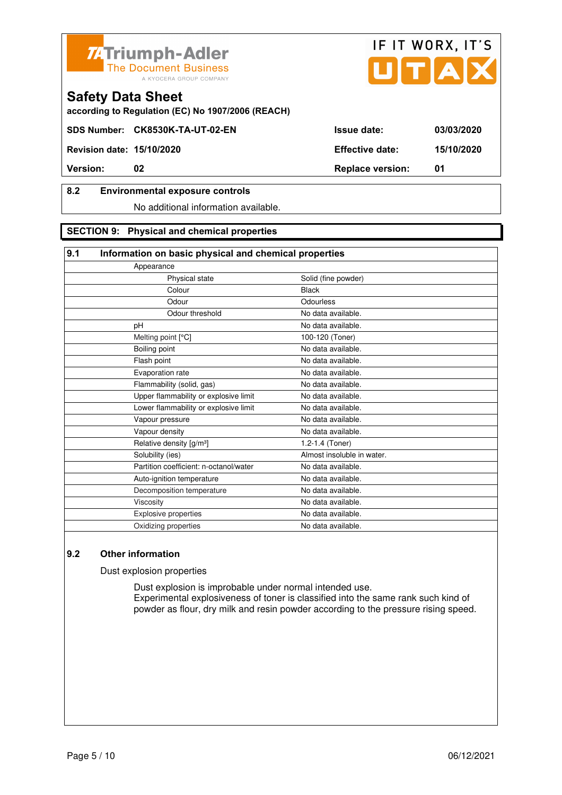



**according to Regulation (EC) No 1907/2006 (REACH)**

## **8.2 Environmental exposure controls**

No additional information available.

#### **SECTION 9: Physical and chemical properties**

## **9.1 Information on basic physical and chemical properties**

| Solid (fine powder)        |
|----------------------------|
| <b>Black</b>               |
| Odourless                  |
| No data available.         |
| No data available.         |
| 100-120 (Toner)            |
| No data available.         |
| No data available.         |
| No data available.         |
| No data available.         |
| No data available.         |
| No data available.         |
| No data available.         |
| No data available.         |
| 1.2-1.4 (Toner)            |
| Almost insoluble in water. |
| No data available.         |
| No data available.         |
| No data available.         |
| No data available.         |
| No data available.         |
| No data available.         |
|                            |

# **9.2 Other information**

Dust explosion properties

 Dust explosion is improbable under normal intended use. Experimental explosiveness of toner is classified into the same rank such kind of powder as flour, dry milk and resin powder according to the pressure rising speed.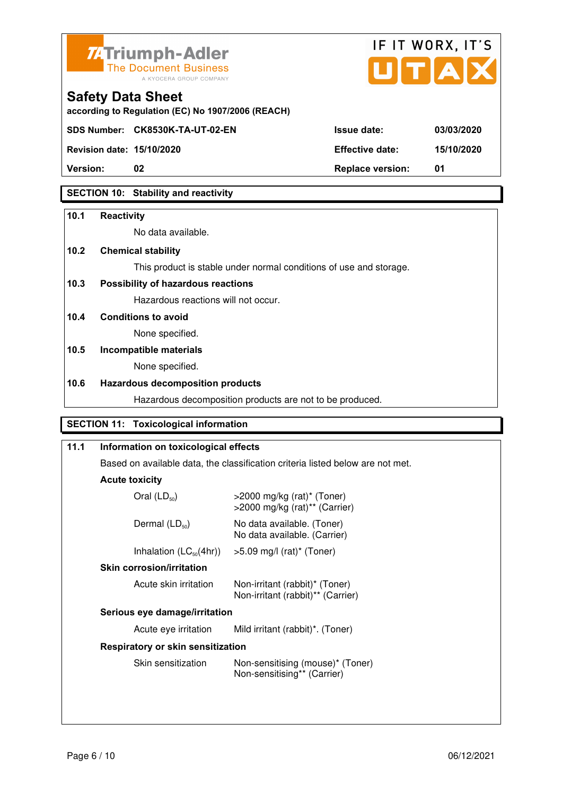



**according to Regulation (EC) No 1907/2006 (REACH)**

**Revision date: 15/10/2020 Effective date: 15/10/2020** 

**Safety Data Sheet** 

**Version:** 02 **Replace version:** 01

# **SECTION 10: Stability and reactivity**

## **10.1 Reactivity**

No data available.

# **10.2 Chemical stability**

This product is stable under normal conditions of use and storage.

# **10.3 Possibility of hazardous reactions**

Hazardous reactions will not occur.

**10.4 Conditions to avoid** 

None specified.

# **10.5 Incompatible materials**

None specified.

# **10.6 Hazardous decomposition products**

Hazardous decomposition products are not to be produced.

# **SECTION 11: Toxicological information**

| 11.1 | Information on toxicological effects                                           |                                                                     |  |
|------|--------------------------------------------------------------------------------|---------------------------------------------------------------------|--|
|      | Based on available data, the classification criteria listed below are not met. |                                                                     |  |
|      | <b>Acute toxicity</b>                                                          |                                                                     |  |
|      | Oral $(LD_{50})$                                                               | $>$ 2000 mg/kg (rat)* (Toner)<br>>2000 mg/kg (rat)** (Carrier)      |  |
|      | Dermal $(LD_{50})$                                                             | No data available. (Toner)<br>No data available. (Carrier)          |  |
|      | Inhalation $(LC_{50}(4hr))$                                                    | $>5.09$ mg/l (rat)* (Toner)                                         |  |
|      | <b>Skin corrosion/irritation</b>                                               |                                                                     |  |
|      | Acute skin irritation                                                          | Non-irritant (rabbit)* (Toner)<br>Non-irritant (rabbit)** (Carrier) |  |
|      | Serious eye damage/irritation                                                  |                                                                     |  |
|      | Acute eye irritation                                                           | Mild irritant (rabbit)*. (Toner)                                    |  |
|      | Respiratory or skin sensitization                                              |                                                                     |  |
|      | Skin sensitization                                                             | Non-sensitising (mouse)* (Toner)<br>Non-sensitising** (Carrier)     |  |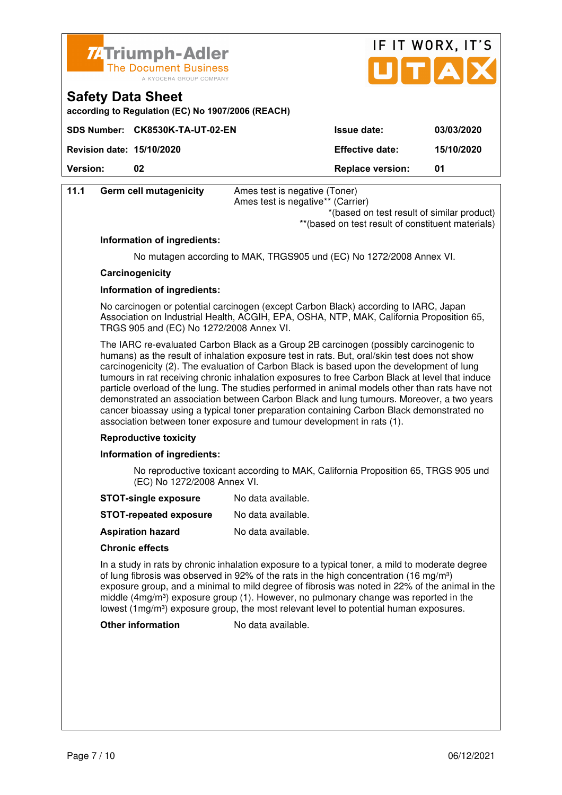



| according to Regulation (EC) No 1907/2006 (REACH) |  |  |  |
|---------------------------------------------------|--|--|--|
|---------------------------------------------------|--|--|--|

|                                  | SDS Number: CK8530K-TA-UT-02-EN | <b>Issue date:</b>      | 03/03/2020 |
|----------------------------------|---------------------------------|-------------------------|------------|
| <b>Revision date: 15/10/2020</b> |                                 | <b>Effective date:</b>  | 15/10/2020 |
| <b>Version:</b>                  |                                 | <b>Replace version:</b> | 01         |

| 11.1 | <b>Germ cell mutagenicity</b> | Ames test is negative (Toner)     |
|------|-------------------------------|-----------------------------------|
|      |                               | Ames test is negative** (Carrier) |
|      |                               | $+1$ . 1.                         |

 \*(based on test result of similar product) \*\*(based on test result of constituent materials)

## **Information of ingredients:**

No mutagen according to MAK, TRGS905 und (EC) No 1272/2008 Annex VI.

#### **Carcinogenicity**

#### **Information of ingredients:**

 No carcinogen or potential carcinogen (except Carbon Black) according to IARC, Japan Association on Industrial Health, ACGIH, EPA, OSHA, NTP, MAK, California Proposition 65, TRGS 905 and (EC) No 1272/2008 Annex VI.

 The IARC re-evaluated Carbon Black as a Group 2B carcinogen (possibly carcinogenic to humans) as the result of inhalation exposure test in rats. But, oral/skin test does not show carcinogenicity (2). The evaluation of Carbon Black is based upon the development of lung tumours in rat receiving chronic inhalation exposures to free Carbon Black at level that induce particle overload of the lung. The studies performed in animal models other than rats have not demonstrated an association between Carbon Black and lung tumours. Moreover, a two years cancer bioassay using a typical toner preparation containing Carbon Black demonstrated no association between toner exposure and tumour development in rats (1).

#### **Reproductive toxicity**

#### **Information of ingredients:**

 No reproductive toxicant according to MAK, California Proposition 65, TRGS 905 und (EC) No 1272/2008 Annex VI.

- **STOT-single exposure** No data available.
- **STOT-repeated exposure** No data available.
- **Aspiration hazard** No data available.

#### **Chronic effects**

 In a study in rats by chronic inhalation exposure to a typical toner, a mild to moderate degree of lung fibrosis was observed in 92% of the rats in the high concentration (16 mg/m<sup>3</sup>) exposure group, and a minimal to mild degree of fibrosis was noted in 22% of the animal in the middle  $(4mg/m<sup>3</sup>)$  exposure group  $(1)$ . However, no pulmonary change was reported in the lowest  $(1 \text{mg/m}^3)$  exposure group, the most relevant level to potential human exposures.

#### **Other information** No data available.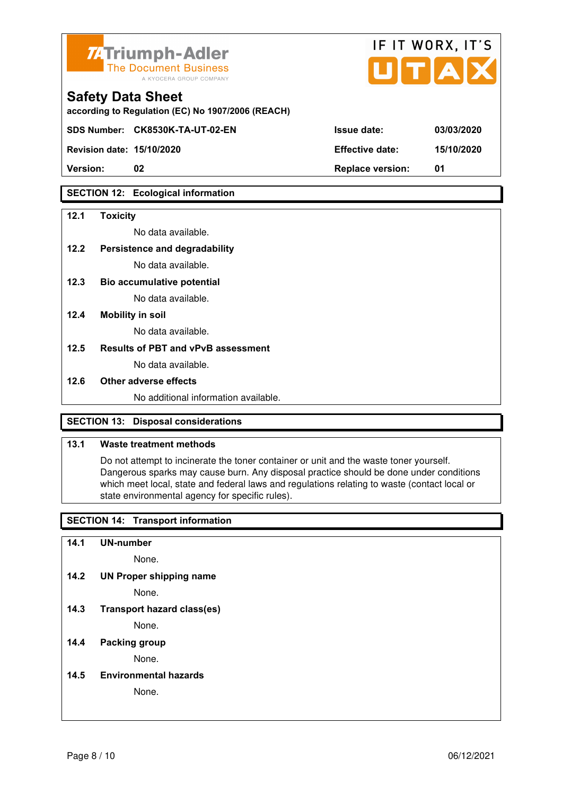

| <b>74 Triumph-Adler</b><br>The Document Business<br>A KYOCERA GROUP COMPANY   |                        | IF II WURX, II S<br>UTAX |
|-------------------------------------------------------------------------------|------------------------|--------------------------|
| <b>Safety Data Sheet</b><br>according to Regulation (EC) No 1907/2006 (REACH) |                        |                          |
| SDS Number: CK8530K-TA-UT-02-EN                                               | <b>Issue date:</b>     | 03/03/2020               |
| <b>Revision date: 15/10/2020</b>                                              | <b>Effective date:</b> | 15/10/2020               |

 $\mathbf{r} = \mathbf{r} + \mathbf{r}$ 

 $\rightarrow$ 

**Version: 02 Replace version: 01** 

## **SECTION 12: Ecological information**

#### **12.1 Toxicity**

No data available.

## **12.2 Persistence and degradability**

No data available.

- **12.3 Bio accumulative potential**  No data available.
- **12.4 Mobility in soil**

No data available.

#### **12.5 Results of PBT and vPvB assessment**

No data available.

#### **12.6 Other adverse effects**

No additional information available.

#### **SECTION 13: Disposal considerations**

#### **13.1 Waste treatment methods**

 Do not attempt to incinerate the toner container or unit and the waste toner yourself. Dangerous sparks may cause burn. Any disposal practice should be done under conditions which meet local, state and federal laws and regulations relating to waste (contact local or state environmental agency for specific rules).

#### **SECTION 14: Transport information**

**14.1 UN-number** 

None.

**14.2 UN Proper shipping name** 

None.

**14.3 Transport hazard class(es)** 

None.

#### **14.4 Packing group**

None.

**14.5 Environmental hazards** 

None.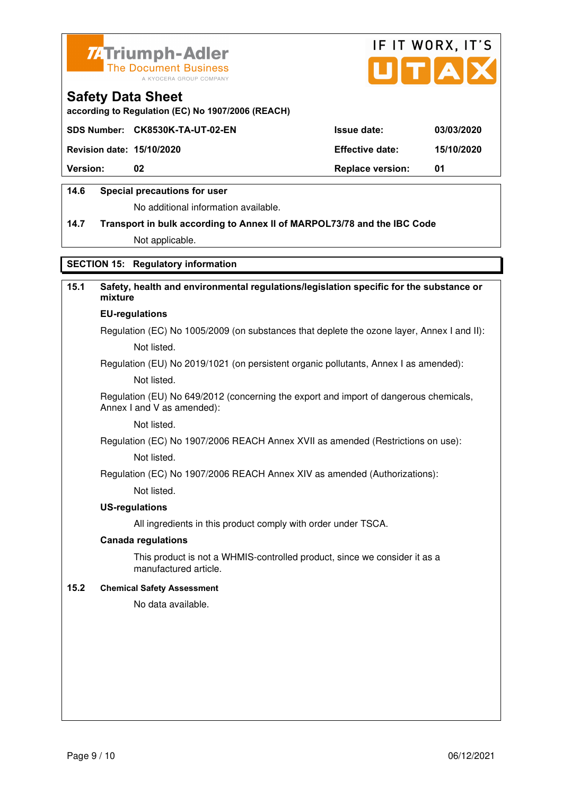



**according to Regulation (EC) No 1907/2006 (REACH)**

|                                  | SDS Number: CK8530K-TA-UT-02-EN | <b>Issue date:</b>      | 03/03/2020 |
|----------------------------------|---------------------------------|-------------------------|------------|
| <b>Revision date: 15/10/2020</b> |                                 | <b>Effective date:</b>  | 15/10/2020 |
| <b>Version:</b>                  | 02                              | <b>Replace version:</b> | -01        |
|                                  |                                 |                         |            |

#### **14.6 Special precautions for user**

No additional information available.

# **14.7 Transport in bulk according to Annex II of MARPOL73/78 and the IBC Code**

Not applicable.

# **SECTION 15: Regulatory information**

# **15.1 Safety, health and environmental regulations/legislation specific for the substance or mixture EU-regulations**

Regulation (EC) No 1005/2009 (on substances that deplete the ozone layer, Annex I and II): Not listed.

Regulation (EU) No 2019/1021 (on persistent organic pollutants, Annex I as amended):

Not listed.

 Regulation (EU) No 649/2012 (concerning the export and import of dangerous chemicals, Annex I and V as amended):

Not listed.

 Regulation (EC) No 1907/2006 REACH Annex XVII as amended (Restrictions on use): Not listed.

Regulation (EC) No 1907/2006 REACH Annex XIV as amended (Authorizations):

Not listed.

#### **US-regulations**

All ingredients in this product comply with order under TSCA.

#### **Canada regulations**

 This product is not a WHMIS-controlled product, since we consider it as a manufactured article.

#### **15.2 Chemical Safety Assessment**

No data available.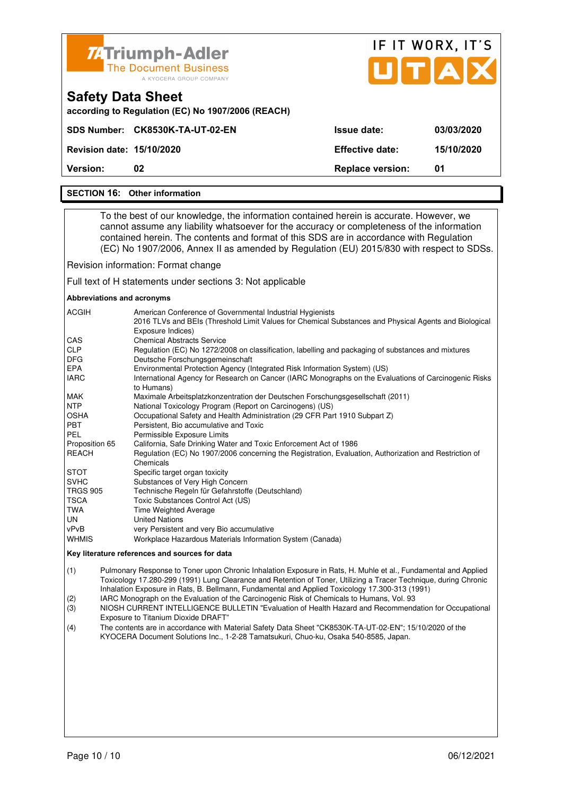

#### **SECTION 16: Other information**

 To the best of our knowledge, the information contained herein is accurate. However, we cannot assume any liability whatsoever for the accuracy or completeness of the information contained herein. The contents and format of this SDS are in accordance with Regulation (EC) No 1907/2006, Annex II as amended by Regulation (EU) 2015/830 with respect to SDSs.

Revision information: Format change

Full text of H statements under sections 3: Not applicable

#### **Abbreviations and acronyms**

| <b>ACGIH</b>    | American Conference of Governmental Industrial Hygienists<br>2016 TLVs and BEIs (Threshold Limit Values for Chemical Substances and Physical Agents and Biological<br>Exposure Indices) |
|-----------------|-----------------------------------------------------------------------------------------------------------------------------------------------------------------------------------------|
| <b>CAS</b>      | <b>Chemical Abstracts Service</b>                                                                                                                                                       |
| <b>CLP</b>      | Regulation (EC) No 1272/2008 on classification, labelling and packaging of substances and mixtures                                                                                      |
| <b>DFG</b>      | Deutsche Forschungsgemeinschaft                                                                                                                                                         |
| <b>EPA</b>      | Environmental Protection Agency (Integrated Risk Information System) (US)                                                                                                               |
| <b>IARC</b>     | International Agency for Research on Cancer (IARC Monographs on the Evaluations of Carcinogenic Risks<br>to Humans)                                                                     |
| <b>MAK</b>      | Maximale Arbeitsplatzkonzentration der Deutschen Forschungsgesellschaft (2011)                                                                                                          |
| <b>NTP</b>      | National Toxicology Program (Report on Carcinogens) (US)                                                                                                                                |
| <b>OSHA</b>     | Occupational Safety and Health Administration (29 CFR Part 1910 Subpart Z)                                                                                                              |
| <b>PBT</b>      | Persistent, Bio accumulative and Toxic                                                                                                                                                  |
| <b>PEL</b>      | Permissible Exposure Limits                                                                                                                                                             |
| Proposition 65  | California, Safe Drinking Water and Toxic Enforcement Act of 1986                                                                                                                       |
| <b>REACH</b>    | Regulation (EC) No 1907/2006 concerning the Registration, Evaluation, Authorization and Restriction of<br>Chemicals                                                                     |
| <b>STOT</b>     | Specific target organ toxicity                                                                                                                                                          |
| <b>SVHC</b>     | Substances of Very High Concern                                                                                                                                                         |
| <b>TRGS 905</b> | Technische Regeln für Gefahrstoffe (Deutschland)                                                                                                                                        |
| <b>TSCA</b>     | Toxic Substances Control Act (US)                                                                                                                                                       |
| TWA             | <b>Time Weighted Average</b>                                                                                                                                                            |
| UN              | <b>United Nations</b>                                                                                                                                                                   |
| vPvB            | very Persistent and very Bio accumulative                                                                                                                                               |
| <b>WHMIS</b>    | Workplace Hazardous Materials Information System (Canada)                                                                                                                               |

#### **Key literature references and sources for data**

(1) Pulmonary Response to Toner upon Chronic Inhalation Exposure in Rats, H. Muhle et al., Fundamental and Applied Toxicology 17.280-299 (1991) Lung Clearance and Retention of Toner, Utilizing a Tracer Technique, during Chronic Inhalation Exposure in Rats, B. Bellmann, Fundamental and Applied Toxicology 17.300-313 (1991)

(2) IARC Monograph on the Evaluation of the Carcinogenic Risk of Chemicals to Humans, Vol. 93

(3) NIOSH CURRENT INTELLIGENCE BULLETIN "Evaluation of Health Hazard and Recommendation for Occupational Exposure to Titanium Dioxide DRAFT"

(4) The contents are in accordance with Material Safety Data Sheet "CK8530K-TA-UT-02-EN"; 15/10/2020 of the KYOCERA Document Solutions Inc., 1-2-28 Tamatsukuri, Chuo-ku, Osaka 540-8585, Japan.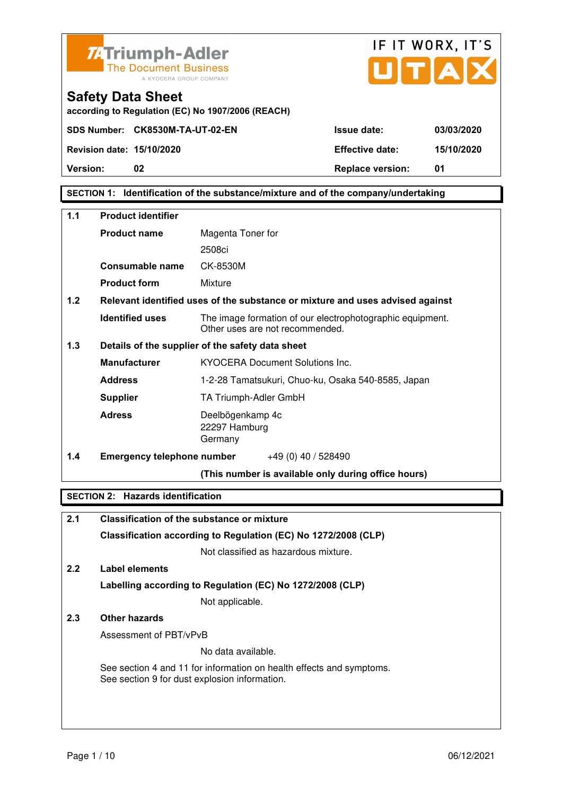



**Safety Data Sheet according to Regulation (EC) No 1907/2006 (REACH)**

**SECTION 1: Identification of the substance/mixture and of the company/undertaking** 

| 1.1 | <b>Product identifier</b>                        |                                                                                              |
|-----|--------------------------------------------------|----------------------------------------------------------------------------------------------|
|     |                                                  |                                                                                              |
|     | <b>Product name</b>                              | Magenta Toner for                                                                            |
|     |                                                  | 2508ci                                                                                       |
|     | Consumable name                                  | CK-8530M                                                                                     |
|     | <b>Product form</b>                              | Mixture                                                                                      |
| 1.2 |                                                  | Relevant identified uses of the substance or mixture and uses advised against                |
|     | <b>Identified uses</b>                           | The image formation of our electrophotographic equipment.<br>Other uses are not recommended. |
| 1.3 | Details of the supplier of the safety data sheet |                                                                                              |
|     | <b>Manufacturer</b>                              | <b>KYOCERA Document Solutions Inc.</b>                                                       |
|     | <b>Address</b>                                   | 1-2-28 Tamatsukuri, Chuo-ku, Osaka 540-8585, Japan                                           |
|     | <b>Supplier</b>                                  | TA Triumph-Adler GmbH                                                                        |
|     | <b>Adress</b>                                    | Deelbögenkamp 4c<br>22297 Hamburg<br>Germany                                                 |
| 1.4 | <b>Emergency telephone number</b>                | $+49(0)$ 40 / 528490                                                                         |
|     |                                                  | (This number is available only during office hours)                                          |

# **SECTION 2: Hazards identification**

| 2.1              | Classification of the substance or mixture                                                                            |
|------------------|-----------------------------------------------------------------------------------------------------------------------|
|                  | Classification according to Regulation (EC) No 1272/2008 (CLP)                                                        |
|                  | Not classified as hazardous mixture.                                                                                  |
| 2.2 <sub>2</sub> | Label elements                                                                                                        |
|                  | Labelling according to Regulation (EC) No 1272/2008 (CLP)                                                             |
|                  | Not applicable.                                                                                                       |
| 2.3              | Other hazards                                                                                                         |
|                  | Assessment of PBT/vPvB                                                                                                |
|                  | No data available.                                                                                                    |
|                  | See section 4 and 11 for information on health effects and symptoms.<br>See section 9 for dust explosion information. |
|                  |                                                                                                                       |
|                  |                                                                                                                       |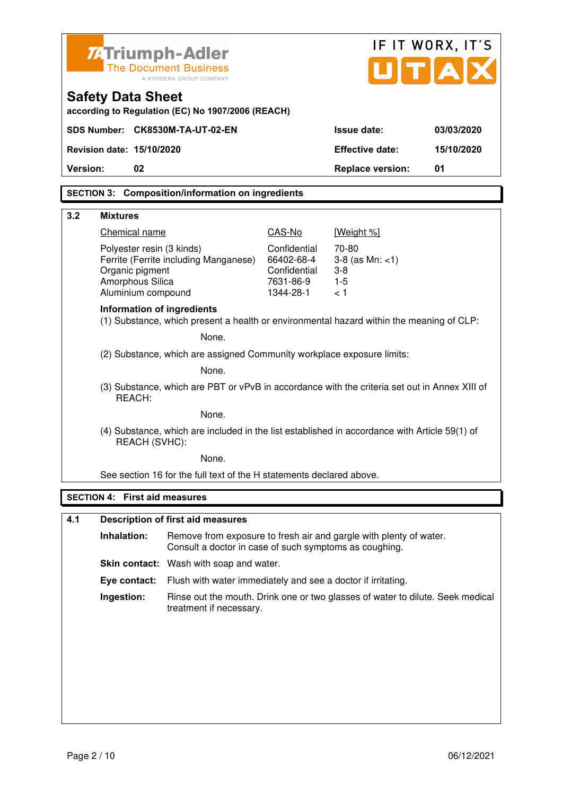| <b>ZATriumph-Adler</b><br><b>The Document Business</b><br>A KYOCERA GROUP COMPANY                       |                                                                                                                              |                           | UTA                     | IF IT WORX, IT'S |
|---------------------------------------------------------------------------------------------------------|------------------------------------------------------------------------------------------------------------------------------|---------------------------|-------------------------|------------------|
| <b>Safety Data Sheet</b>                                                                                | according to Regulation (EC) No 1907/2006 (REACH)                                                                            |                           |                         |                  |
| SDS Number: CK8530M-TA-UT-02-EN                                                                         |                                                                                                                              |                           | <b>Issue date:</b>      | 03/03/2020       |
| Revision date: 15/10/2020                                                                               |                                                                                                                              |                           | <b>Effective date:</b>  | 15/10/2020       |
| 02<br>Version:                                                                                          |                                                                                                                              |                           | <b>Replace version:</b> | 01               |
|                                                                                                         | <b>SECTION 3: Composition/information on ingredients</b>                                                                     |                           |                         |                  |
|                                                                                                         |                                                                                                                              |                           |                         |                  |
| 3.2<br><b>Mixtures</b>                                                                                  |                                                                                                                              |                           |                         |                  |
| Chemical name<br>Polyester resin (3 kinds)                                                              |                                                                                                                              | CAS-No<br>Confidential    | [Weight %]<br>70-80     |                  |
|                                                                                                         | Ferrite (Ferrite including Manganese)                                                                                        | 66402-68-4                | $3-8$ (as Mn: $<1$ )    |                  |
| Organic pigment<br>Amorphous Silica                                                                     |                                                                                                                              | Confidential<br>7631-86-9 | $3 - 8$<br>$1 - 5$      |                  |
| Aluminium compound                                                                                      |                                                                                                                              | 1344-28-1                 | < 1                     |                  |
| <b>Information of ingredients</b>                                                                       | (1) Substance, which present a health or environmental hazard within the meaning of CLP:                                     |                           |                         |                  |
|                                                                                                         | None.                                                                                                                        |                           |                         |                  |
| (2) Substance, which are assigned Community workplace exposure limits:                                  |                                                                                                                              |                           |                         |                  |
| None.                                                                                                   |                                                                                                                              |                           |                         |                  |
| (3) Substance, which are PBT or vPvB in accordance with the criteria set out in Annex XIII of<br>REACH: |                                                                                                                              |                           |                         |                  |
| None.                                                                                                   |                                                                                                                              |                           |                         |                  |
|                                                                                                         | (4) Substance, which are included in the list established in accordance with Article 59(1) of<br>REACH (SVHC):               |                           |                         |                  |
| None.                                                                                                   |                                                                                                                              |                           |                         |                  |
|                                                                                                         | See section 16 for the full text of the H statements declared above.                                                         |                           |                         |                  |
| <b>SECTION 4: First aid measures</b>                                                                    |                                                                                                                              |                           |                         |                  |
| 4.1                                                                                                     | <b>Description of first aid measures</b>                                                                                     |                           |                         |                  |
| Inhalation:                                                                                             | Remove from exposure to fresh air and gargle with plenty of water.<br>Consult a doctor in case of such symptoms as coughing. |                           |                         |                  |
|                                                                                                         | Skin contact: Wash with soap and water.                                                                                      |                           |                         |                  |
| Eye contact:                                                                                            | Flush with water immediately and see a doctor if irritating.                                                                 |                           |                         |                  |
| Ingestion:                                                                                              | Rinse out the mouth. Drink one or two glasses of water to dilute. Seek medical<br>treatment if necessary.                    |                           |                         |                  |
|                                                                                                         |                                                                                                                              |                           |                         |                  |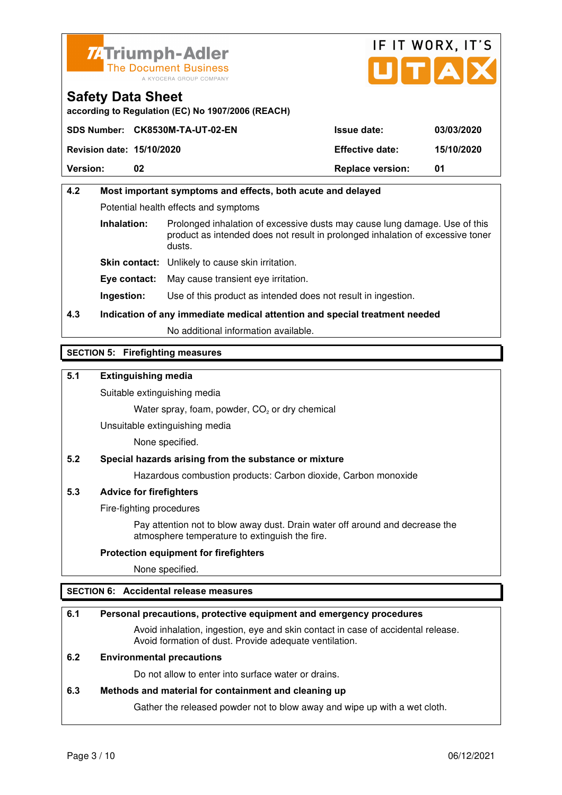



**according to Regulation (EC) No 1907/2006 (REACH)**

|                                  | SDS Number: CK8530M-TA-UT-02-EN | <b>Issue date:</b>      | 03/03/2020 |
|----------------------------------|---------------------------------|-------------------------|------------|
| <b>Revision date: 15/10/2020</b> |                                 | <b>Effective date:</b>  | 15/10/2020 |
| <b>Version:</b>                  | 02                              | <b>Replace version:</b> | 01         |

# **4.2 Most important symptoms and effects, both acute and delayed**  Potential health effects and symptoms **Inhalation:** Prolonged inhalation of excessive dusts may cause lung damage. Use of this product as intended does not result in prolonged inhalation of excessive toner dusts. **Skin contact:** Unlikely to cause skin irritation. **Eye contact:** May cause transient eye irritation.

**Ingestion:** Use of this product as intended does not result in ingestion.

# **4.3 Indication of any immediate medical attention and special treatment needed**

No additional information available.

# **SECTION 5: Firefighting measures**

## **5.1 Extinguishing media**

Suitable extinguishing media

Water spray, foam, powder,  $CO<sub>2</sub>$  or dry chemical

Unsuitable extinguishing media

None specified.

#### **5.2 Special hazards arising from the substance or mixture**

Hazardous combustion products: Carbon dioxide, Carbon monoxide

#### **5.3 Advice for firefighters**

Fire-fighting procedures

 Pay attention not to blow away dust. Drain water off around and decrease the atmosphere temperature to extinguish the fire.

#### **Protection equipment for firefighters**

None specified.

#### **SECTION 6: Accidental release measures**

#### **6.1 Personal precautions, protective equipment and emergency procedures**

 Avoid inhalation, ingestion, eye and skin contact in case of accidental release. Avoid formation of dust. Provide adequate ventilation.

# **6.2 Environmental precautions**

Do not allow to enter into surface water or drains.

#### **6.3 Methods and material for containment and cleaning up**

Gather the released powder not to blow away and wipe up with a wet cloth.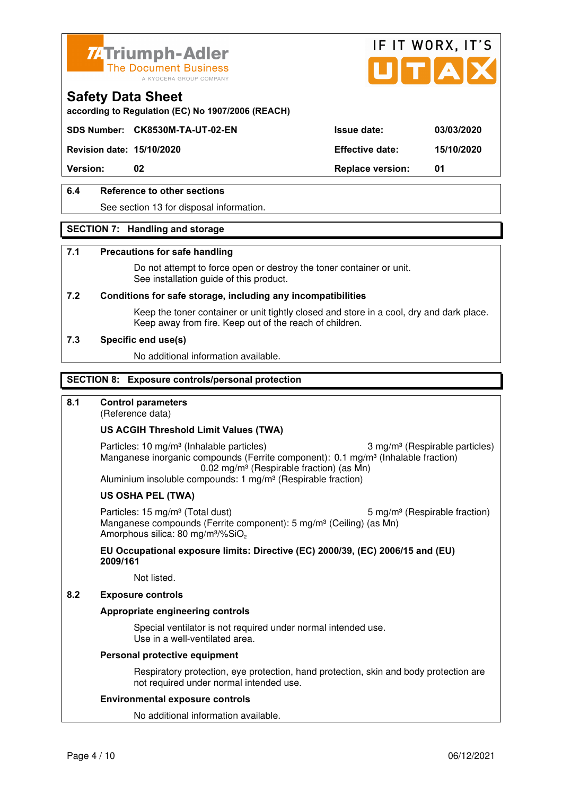



**according to Regulation (EC) No 1907/2006 (REACH)**

## **SDS Number: CK8530M-TA-UT-02-EN Issue date: 03/03/2020**

**Revision date: 15/10/2020 Effective date: 15/10/2020** 

**Version:** 02 **Replace version:** 01

# **6.4 Reference to other sections**

See section 13 for disposal information.

#### **SECTION 7: Handling and storage**

#### **7.1 Precautions for safe handling**

 Do not attempt to force open or destroy the toner container or unit. See installation guide of this product.

#### **7.2 Conditions for safe storage, including any incompatibilities**

Keep the toner container or unit tightly closed and store in a cool, dry and dark place. Keep away from fire. Keep out of the reach of children.

#### **7.3 Specific end use(s)**

No additional information available.

#### **SECTION 8: Exposure controls/personal protection**

#### **8.1 Control parameters**

(Reference data)

#### **US ACGIH Threshold Limit Values (TWA)**

Particles: 10 mg/m<sup>3</sup> (Inhalable particles) 3 mg/m<sup>3</sup> (Respirable particles) Manganese inorganic compounds (Ferrite component): 0.1 mg/m<sup>3</sup> (Inhalable fraction) 0.02 mg/m³ (Respirable fraction) (as Mn) Aluminium insoluble compounds: 1 mg/m<sup>3</sup> (Respirable fraction)

#### **US OSHA PEL (TWA)**

Particles: 15 mg/m<sup>3</sup> (Total dust) 5 mg/m<sup>3</sup> (Respirable fraction) Manganese compounds (Ferrite component): 5 mg/m<sup>3</sup> (Ceiling) (as Mn) Amorphous silica: 80 mg/m<sup>3</sup>/%SiO<sub>2</sub>

#### **EU Occupational exposure limits: Directive (EC) 2000/39, (EC) 2006/15 and (EU) 2009/161**

Not listed.

#### **8.2 Exposure controls**

#### **Appropriate engineering controls**

 Special ventilator is not required under normal intended use. Use in a well-ventilated area.

#### **Personal protective equipment**

 Respiratory protection, eye protection, hand protection, skin and body protection are not required under normal intended use.

#### **Environmental exposure controls**

No additional information available.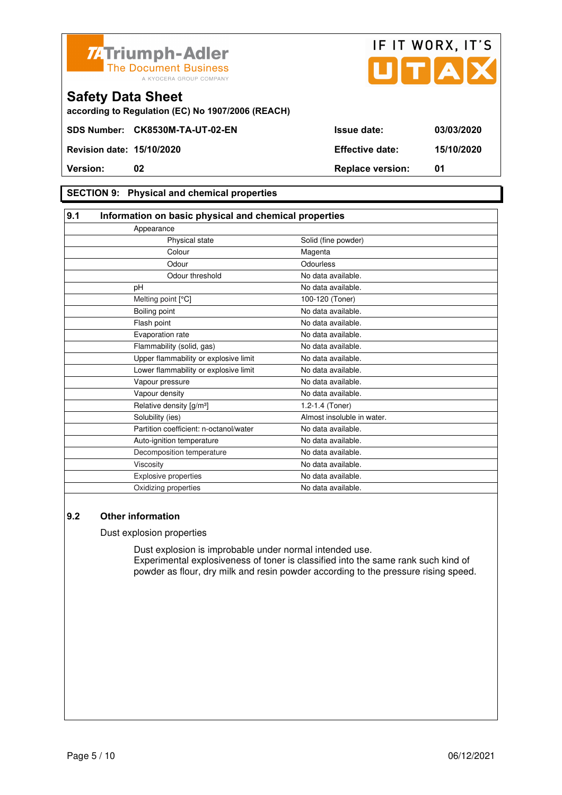



**according to Regulation (EC) No 1907/2006 (REACH)**

#### **SECTION 9: Physical and chemical properties**

#### **9.1 Information on basic physical and chemical properties** Appearance Physical state Solid (fine powder) Colour Magenta Odour **Odourless** Odour threshold No data available. pH No data available. Melting point [°C] 100-120 (Toner) Boiling point No data available. Flash point **No data available.** Evaporation rate **No assume that the Contract Contract Contract Contract Contract Contract Contract Contract Contract Contract Contract Contract Contract Contract Contract Contract Contract Contract Contract Contract Contr** Flammability (solid, gas) No data available. Upper flammability or explosive limit No data available. Lower flammability or explosive limit No data available. Vapour pressure No data available. Vapour density **No data available.** Relative density  $[g/m^3]$  1.2-1.4 (Toner) Solubility (ies) Almost insoluble in water. Partition coefficient: n-octanol/water No data available. Auto-ignition temperature No data available. Decomposition temperature No data available. Viscosity **No data available.** Explosive properties **No data available**. Oxidizing properties No data available.

#### **9.2 Other information**

Dust explosion properties

 Dust explosion is improbable under normal intended use. Experimental explosiveness of toner is classified into the same rank such kind of powder as flour, dry milk and resin powder according to the pressure rising speed.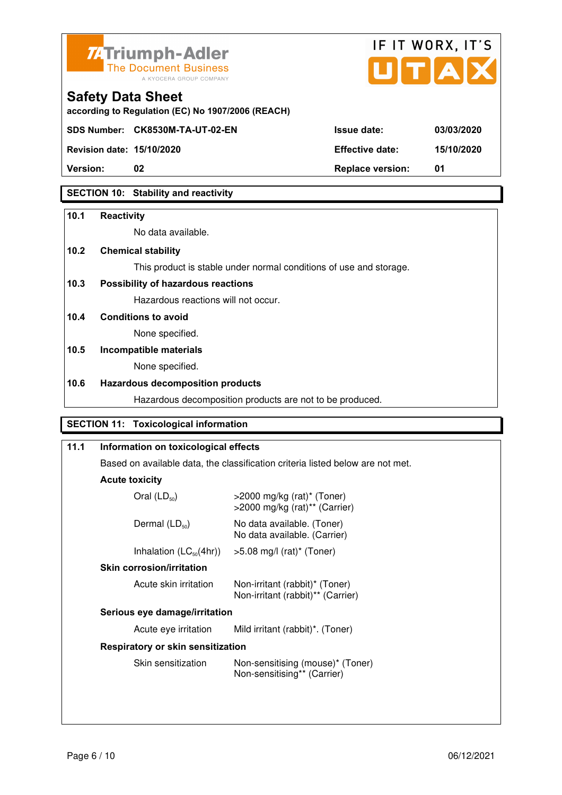



| <b>Version:</b>                  | <b>Replace version:</b> | 01         |
|----------------------------------|-------------------------|------------|
| <b>Revision date: 15/10/2020</b> | <b>Effective date:</b>  | 15/10/2020 |
|                                  |                         |            |

# **SECTION 10: Stability and reactivity**

#### **10.1 Reactivity**

No data available.

**according to Regulation (EC) No 1907/2006 (REACH)**

# **10.2 Chemical stability**

This product is stable under normal conditions of use and storage.

# **10.3 Possibility of hazardous reactions**

Hazardous reactions will not occur.

#### **10.4 Conditions to avoid**

None specified.

# **10.5 Incompatible materials**

None specified.

# **10.6 Hazardous decomposition products**

Hazardous decomposition products are not to be produced.

# **SECTION 11: Toxicological information**

| 11.1 | Information on toxicological effects                                                                    |                                                                     |  |
|------|---------------------------------------------------------------------------------------------------------|---------------------------------------------------------------------|--|
|      | Based on available data, the classification criteria listed below are not met.<br><b>Acute toxicity</b> |                                                                     |  |
|      |                                                                                                         |                                                                     |  |
|      | Oral $(LD_{50})$                                                                                        | $>$ 2000 mg/kg (rat)* (Toner)<br>>2000 mg/kg (rat)** (Carrier)      |  |
|      | Dermal $(LD_{50})$                                                                                      | No data available. (Toner)<br>No data available. (Carrier)          |  |
|      | Inhalation $(LC_{50}(4hr))$                                                                             | $>5.08$ mg/l (rat) <sup>*</sup> (Toner)                             |  |
|      | <b>Skin corrosion/irritation</b>                                                                        |                                                                     |  |
|      | Acute skin irritation                                                                                   | Non-irritant (rabbit)* (Toner)<br>Non-irritant (rabbit)** (Carrier) |  |
|      | Serious eye damage/irritation                                                                           |                                                                     |  |
|      | Acute eye irritation                                                                                    | Mild irritant (rabbit)*. (Toner)                                    |  |
|      | Respiratory or skin sensitization                                                                       |                                                                     |  |
|      | Skin sensitization                                                                                      | Non-sensitising (mouse)* (Toner)<br>Non-sensitising** (Carrier)     |  |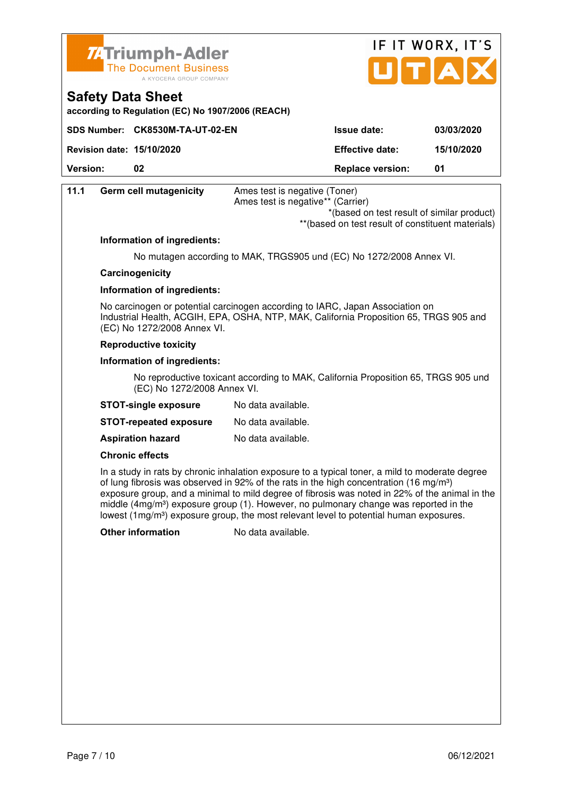



| <b>Safety Data Sheet</b><br>according to Regulation (EC) No 1907/2006 (REACH) |                                 |                         |            |
|-------------------------------------------------------------------------------|---------------------------------|-------------------------|------------|
|                                                                               | SDS Number: CK8530M-TA-UT-02-EN | <b>Issue date:</b>      | 03/03/2020 |
| <b>Revision date: 15/10/2020</b>                                              |                                 | <b>Effective date:</b>  | 15/10/2020 |
| <b>Version:</b>                                                               | 02                              | <b>Replace version:</b> | 01         |
|                                                                               |                                 |                         |            |

| 11.1 | <b>Germ cell mutagenicity</b> | Ames test is negative (Toner)<br>Ames test is negative** (Carrier)                                                                                                                                                                                                                                                                                                                                                                                                                                                 |  |
|------|-------------------------------|--------------------------------------------------------------------------------------------------------------------------------------------------------------------------------------------------------------------------------------------------------------------------------------------------------------------------------------------------------------------------------------------------------------------------------------------------------------------------------------------------------------------|--|
|      |                               | *(based on test result of similar product)<br>** (based on test result of constituent materials)                                                                                                                                                                                                                                                                                                                                                                                                                   |  |
|      | Information of ingredients:   |                                                                                                                                                                                                                                                                                                                                                                                                                                                                                                                    |  |
|      |                               | No mutagen according to MAK, TRGS905 und (EC) No 1272/2008 Annex VI.                                                                                                                                                                                                                                                                                                                                                                                                                                               |  |
|      | Carcinogenicity               |                                                                                                                                                                                                                                                                                                                                                                                                                                                                                                                    |  |
|      | Information of ingredients:   |                                                                                                                                                                                                                                                                                                                                                                                                                                                                                                                    |  |
|      | (EC) No 1272/2008 Annex VI.   | No carcinogen or potential carcinogen according to IARC, Japan Association on<br>Industrial Health, ACGIH, EPA, OSHA, NTP, MAK, California Proposition 65, TRGS 905 and                                                                                                                                                                                                                                                                                                                                            |  |
|      | <b>Reproductive toxicity</b>  |                                                                                                                                                                                                                                                                                                                                                                                                                                                                                                                    |  |
|      | Information of ingredients:   |                                                                                                                                                                                                                                                                                                                                                                                                                                                                                                                    |  |
|      | (EC) No 1272/2008 Annex VI.   | No reproductive toxicant according to MAK, California Proposition 65, TRGS 905 und                                                                                                                                                                                                                                                                                                                                                                                                                                 |  |
|      | <b>STOT-single exposure</b>   | No data available.                                                                                                                                                                                                                                                                                                                                                                                                                                                                                                 |  |
|      | <b>STOT-repeated exposure</b> | No data available.                                                                                                                                                                                                                                                                                                                                                                                                                                                                                                 |  |
|      | <b>Aspiration hazard</b>      | No data available.                                                                                                                                                                                                                                                                                                                                                                                                                                                                                                 |  |
|      | <b>Chronic effects</b>        |                                                                                                                                                                                                                                                                                                                                                                                                                                                                                                                    |  |
|      |                               | In a study in rats by chronic inhalation exposure to a typical toner, a mild to moderate degree<br>of lung fibrosis was observed in 92% of the rats in the high concentration (16 mg/m <sup>3</sup> )<br>exposure group, and a minimal to mild degree of fibrosis was noted in 22% of the animal in the<br>middle (4mg/m <sup>3</sup> ) exposure group (1). However, no pulmonary change was reported in the<br>lowest (1mg/m <sup>3</sup> ) exposure group, the most relevant level to potential human exposures. |  |
|      | <b>Other information</b>      | No data available.                                                                                                                                                                                                                                                                                                                                                                                                                                                                                                 |  |
|      |                               |                                                                                                                                                                                                                                                                                                                                                                                                                                                                                                                    |  |
|      |                               |                                                                                                                                                                                                                                                                                                                                                                                                                                                                                                                    |  |
|      |                               |                                                                                                                                                                                                                                                                                                                                                                                                                                                                                                                    |  |
|      |                               |                                                                                                                                                                                                                                                                                                                                                                                                                                                                                                                    |  |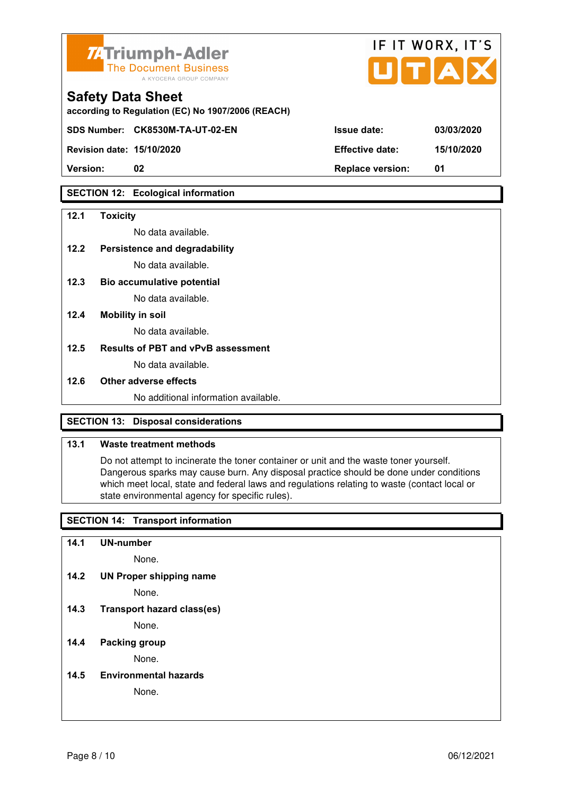

| <b>74 Triumph-Adler</b><br>The Document Business<br>A KYOCERA GROUP COMPANY   |                        | IF II WURA.II J<br>UTAX |
|-------------------------------------------------------------------------------|------------------------|-------------------------|
| <b>Safety Data Sheet</b><br>according to Regulation (EC) No 1907/2006 (REACH) |                        |                         |
| SDS Number: CK8530M-TA-UT-02-EN                                               | <b>Issue date:</b>     | 03/03/2020              |
| <b>Revision date: 15/10/2020</b>                                              | <b>Effective date:</b> | 15/10/2020              |

 $ITIT$  WODY  $IT'C$ 

**Version: 02 Replace version: 01** 

#### **SECTION 12: Ecological information**

#### **12.1 Toxicity**

No data available.

## **12.2 Persistence and degradability**

No data available.

- **12.3 Bio accumulative potential**  No data available.
- **12.4 Mobility in soil**

No data available.

#### **12.5 Results of PBT and vPvB assessment**

No data available.

#### **12.6 Other adverse effects**

No additional information available.

#### **SECTION 13: Disposal considerations**

#### **13.1 Waste treatment methods**

 Do not attempt to incinerate the toner container or unit and the waste toner yourself. Dangerous sparks may cause burn. Any disposal practice should be done under conditions which meet local, state and federal laws and regulations relating to waste (contact local or state environmental agency for specific rules).

#### **SECTION 14: Transport information**

**14.1 UN-number** 

None.

**14.2 UN Proper shipping name** 

None.

**14.3 Transport hazard class(es)** 

None.

#### **14.4 Packing group**

None.

**14.5 Environmental hazards** 

None.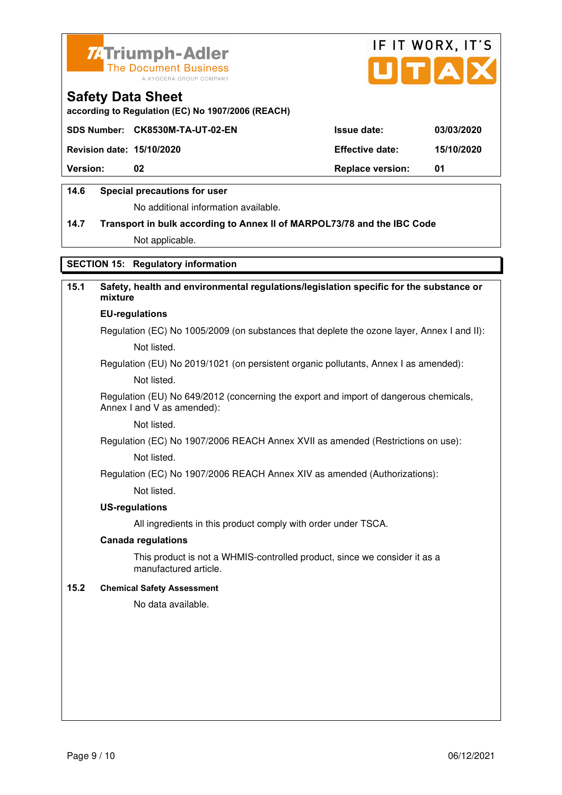



**according to Regulation (EC) No 1907/2006 (REACH)**

|                                  | SDS Number: CK8530M-TA-UT-02-EN | <b>Issue date:</b>      | 03/03/2020 |
|----------------------------------|---------------------------------|-------------------------|------------|
| <b>Revision date: 15/10/2020</b> |                                 | <b>Effective date:</b>  | 15/10/2020 |
| <b>Version:</b>                  | 02                              | <b>Replace version:</b> | -01        |
|                                  |                                 |                         |            |

#### **14.6 Special precautions for user**

No additional information available.

# **14.7 Transport in bulk according to Annex II of MARPOL73/78 and the IBC Code**

Not applicable.

# **SECTION 15: Regulatory information**

# **15.1 Safety, health and environmental regulations/legislation specific for the substance or mixture EU-regulations**

Regulation (EC) No 1005/2009 (on substances that deplete the ozone layer, Annex I and II): Not listed.

Regulation (EU) No 2019/1021 (on persistent organic pollutants, Annex I as amended):

Not listed.

 Regulation (EU) No 649/2012 (concerning the export and import of dangerous chemicals, Annex I and V as amended):

Not listed.

 Regulation (EC) No 1907/2006 REACH Annex XVII as amended (Restrictions on use): Not listed.

Regulation (EC) No 1907/2006 REACH Annex XIV as amended (Authorizations):

Not listed.

#### **US-regulations**

All ingredients in this product comply with order under TSCA.

#### **Canada regulations**

 This product is not a WHMIS-controlled product, since we consider it as a manufactured article.

#### **15.2 Chemical Safety Assessment**

No data available.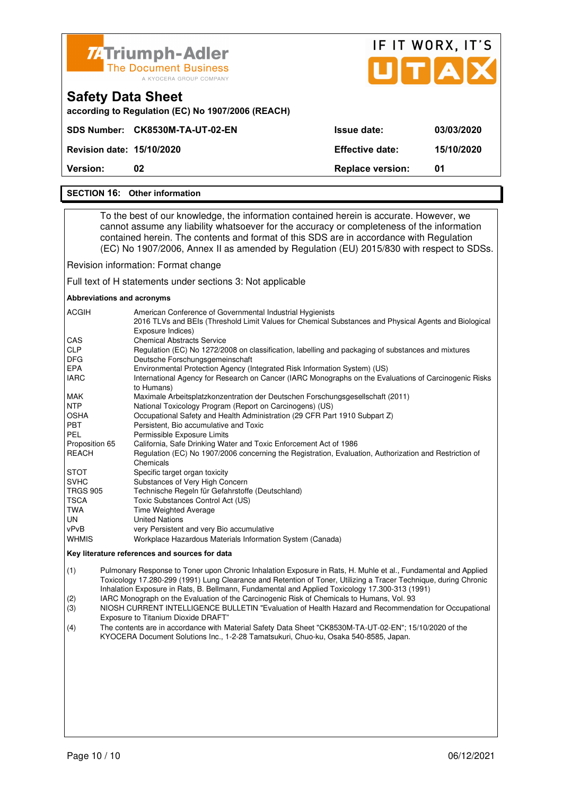

#### **SECTION 16: Other information**

 To the best of our knowledge, the information contained herein is accurate. However, we cannot assume any liability whatsoever for the accuracy or completeness of the information contained herein. The contents and format of this SDS are in accordance with Regulation (EC) No 1907/2006, Annex II as amended by Regulation (EU) 2015/830 with respect to SDSs.

Revision information: Format change

Full text of H statements under sections 3: Not applicable

#### **Abbreviations and acronyms**

| <b>ACGIH</b>    | American Conference of Governmental Industrial Hygienists<br>2016 TLVs and BEIs (Threshold Limit Values for Chemical Substances and Physical Agents and Biological<br>Exposure Indices) |
|-----------------|-----------------------------------------------------------------------------------------------------------------------------------------------------------------------------------------|
| <b>CAS</b>      | <b>Chemical Abstracts Service</b>                                                                                                                                                       |
| <b>CLP</b>      | Regulation (EC) No 1272/2008 on classification, labelling and packaging of substances and mixtures                                                                                      |
| <b>DFG</b>      | Deutsche Forschungsgemeinschaft                                                                                                                                                         |
| <b>EPA</b>      | Environmental Protection Agency (Integrated Risk Information System) (US)                                                                                                               |
| <b>IARC</b>     | International Agency for Research on Cancer (IARC Monographs on the Evaluations of Carcinogenic Risks<br>to Humans)                                                                     |
| <b>MAK</b>      | Maximale Arbeitsplatzkonzentration der Deutschen Forschungsgesellschaft (2011)                                                                                                          |
| <b>NTP</b>      | National Toxicology Program (Report on Carcinogens) (US)                                                                                                                                |
| <b>OSHA</b>     | Occupational Safety and Health Administration (29 CFR Part 1910 Subpart Z)                                                                                                              |
| <b>PBT</b>      | Persistent, Bio accumulative and Toxic                                                                                                                                                  |
| PEL             | Permissible Exposure Limits                                                                                                                                                             |
| Proposition 65  | California, Safe Drinking Water and Toxic Enforcement Act of 1986                                                                                                                       |
| REACH           | Regulation (EC) No 1907/2006 concerning the Registration, Evaluation, Authorization and Restriction of<br>Chemicals                                                                     |
| <b>STOT</b>     | Specific target organ toxicity                                                                                                                                                          |
| <b>SVHC</b>     | Substances of Very High Concern                                                                                                                                                         |
| <b>TRGS 905</b> | Technische Regeln für Gefahrstoffe (Deutschland)                                                                                                                                        |
| TSCA            | Toxic Substances Control Act (US)                                                                                                                                                       |
| TWA             | <b>Time Weighted Average</b>                                                                                                                                                            |
| UN              | <b>United Nations</b>                                                                                                                                                                   |
| vPvB            | very Persistent and very Bio accumulative                                                                                                                                               |
| <b>WHMIS</b>    | Workplace Hazardous Materials Information System (Canada)                                                                                                                               |

#### **Key literature references and sources for data**

(1) Pulmonary Response to Toner upon Chronic Inhalation Exposure in Rats, H. Muhle et al., Fundamental and Applied Toxicology 17.280-299 (1991) Lung Clearance and Retention of Toner, Utilizing a Tracer Technique, during Chronic Inhalation Exposure in Rats, B. Bellmann, Fundamental and Applied Toxicology 17.300-313 (1991)

(2) IARC Monograph on the Evaluation of the Carcinogenic Risk of Chemicals to Humans, Vol. 93

(3) NIOSH CURRENT INTELLIGENCE BULLETIN "Evaluation of Health Hazard and Recommendation for Occupational Exposure to Titanium Dioxide DRAFT"

(4) The contents are in accordance with Material Safety Data Sheet "CK8530M-TA-UT-02-EN"; 15/10/2020 of the KYOCERA Document Solutions Inc., 1-2-28 Tamatsukuri, Chuo-ku, Osaka 540-8585, Japan.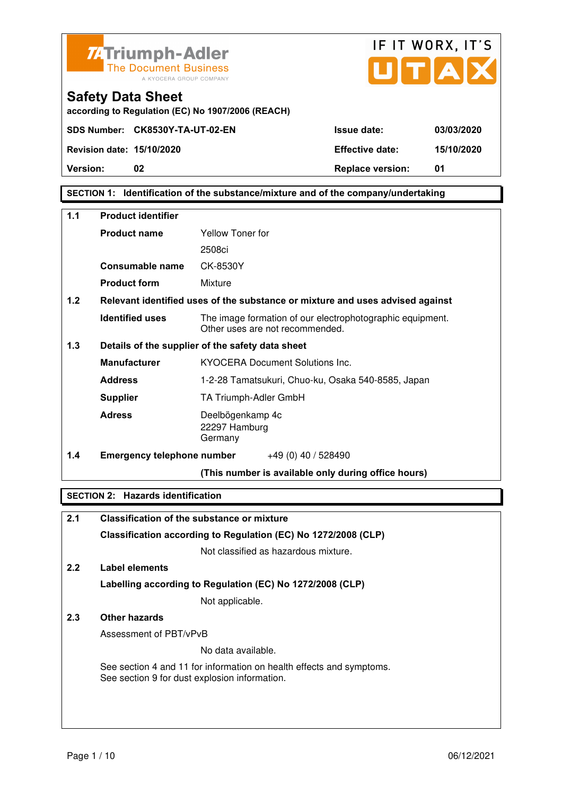



**according to Regulation (EC) No 1907/2006 (REACH)**

**SECTION 1: Identification of the substance/mixture and of the company/undertaking** 

| $1.1$<br><b>Product identifier</b>                      |                                   |                                                                                              |
|---------------------------------------------------------|-----------------------------------|----------------------------------------------------------------------------------------------|
|                                                         | <b>Product name</b>               | Yellow Toner for                                                                             |
|                                                         |                                   | 2508ci                                                                                       |
|                                                         | Consumable name                   | CK-8530Y                                                                                     |
|                                                         | <b>Product form</b>               | Mixture                                                                                      |
| 1.2                                                     |                                   | Relevant identified uses of the substance or mixture and uses advised against                |
|                                                         | <b>Identified uses</b>            | The image formation of our electrophotographic equipment.<br>Other uses are not recommended. |
| 1.3<br>Details of the supplier of the safety data sheet |                                   |                                                                                              |
|                                                         | <b>Manufacturer</b>               | <b>KYOCERA Document Solutions Inc.</b>                                                       |
|                                                         | <b>Address</b>                    | 1-2-28 Tamatsukuri, Chuo-ku, Osaka 540-8585, Japan                                           |
|                                                         | <b>Supplier</b>                   | TA Triumph-Adler GmbH                                                                        |
|                                                         | <b>Adress</b>                     | Deelbögenkamp 4c<br>22297 Hamburg<br>Germany                                                 |
| 1.4                                                     | <b>Emergency telephone number</b> | $+49(0)$ 40 / 528490                                                                         |
|                                                         |                                   | (This number is available only during office hours)                                          |

# **SECTION 2: Hazards identification**

| 2.1 | <b>Classification of the substance or mixture</b>                                                                     |
|-----|-----------------------------------------------------------------------------------------------------------------------|
|     | Classification according to Regulation (EC) No 1272/2008 (CLP)                                                        |
|     | Not classified as hazardous mixture.                                                                                  |
| 2.2 | Label elements                                                                                                        |
|     | Labelling according to Regulation (EC) No 1272/2008 (CLP)                                                             |
|     | Not applicable.                                                                                                       |
| 2.3 | Other hazards                                                                                                         |
|     | Assessment of PBT/vPvB                                                                                                |
|     | No data available.                                                                                                    |
|     | See section 4 and 11 for information on health effects and symptoms.<br>See section 9 for dust explosion information. |
|     |                                                                                                                       |
|     |                                                                                                                       |
|     |                                                                                                                       |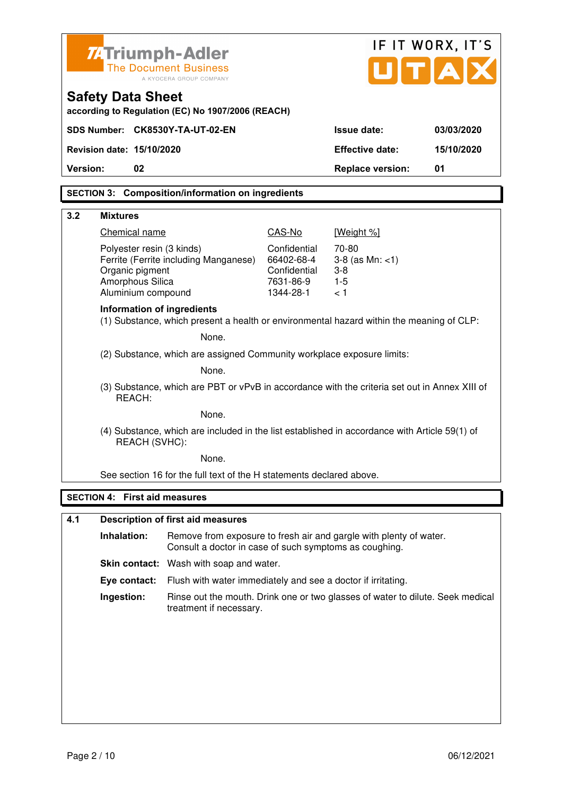|                                                                                                         | <b>ZATriumph-Adler</b>                                  |                                                                                               |                           |                                                                                | IF IT WORX, IT'S |
|---------------------------------------------------------------------------------------------------------|---------------------------------------------------------|-----------------------------------------------------------------------------------------------|---------------------------|--------------------------------------------------------------------------------|------------------|
|                                                                                                         | <b>The Document Business</b><br>A KYOCERA GROUP COMPANY |                                                                                               |                           | UTA                                                                            |                  |
|                                                                                                         | <b>Safety Data Sheet</b>                                | according to Regulation (EC) No 1907/2006 (REACH)                                             |                           |                                                                                |                  |
|                                                                                                         |                                                         | SDS Number: CK8530Y-TA-UT-02-EN                                                               |                           | <b>Issue date:</b>                                                             | 03/03/2020       |
|                                                                                                         | Revision date: 15/10/2020                               |                                                                                               |                           | <b>Effective date:</b>                                                         | 15/10/2020       |
| Version:                                                                                                | 02                                                      |                                                                                               |                           | <b>Replace version:</b>                                                        | 01               |
|                                                                                                         |                                                         | <b>SECTION 3: Composition/information on ingredients</b>                                      |                           |                                                                                |                  |
|                                                                                                         |                                                         |                                                                                               |                           |                                                                                |                  |
| 3.2                                                                                                     | <b>Mixtures</b><br>Chemical name                        |                                                                                               | CAS-No                    | [Weight %]                                                                     |                  |
|                                                                                                         | Polyester resin (3 kinds)                               |                                                                                               | Confidential              | 70-80                                                                          |                  |
|                                                                                                         |                                                         | Ferrite (Ferrite including Manganese)                                                         | 66402-68-4                | $3-8$ (as Mn: $<1$ )                                                           |                  |
|                                                                                                         | Organic pigment<br>Amorphous Silica                     |                                                                                               | Confidential<br>7631-86-9 | $3 - 8$<br>$1 - 5$                                                             |                  |
|                                                                                                         | Aluminium compound                                      |                                                                                               | 1344-28-1                 | < 1                                                                            |                  |
|                                                                                                         | Information of ingredients                              | (1) Substance, which present a health or environmental hazard within the meaning of CLP:      |                           |                                                                                |                  |
|                                                                                                         |                                                         | None.                                                                                         |                           |                                                                                |                  |
| (2) Substance, which are assigned Community workplace exposure limits:                                  |                                                         |                                                                                               |                           |                                                                                |                  |
| None.                                                                                                   |                                                         |                                                                                               |                           |                                                                                |                  |
| (3) Substance, which are PBT or vPvB in accordance with the criteria set out in Annex XIII of<br>REACH: |                                                         |                                                                                               |                           |                                                                                |                  |
|                                                                                                         | None.                                                   |                                                                                               |                           |                                                                                |                  |
|                                                                                                         | REACH (SVHC):                                           | (4) Substance, which are included in the list established in accordance with Article 59(1) of |                           |                                                                                |                  |
|                                                                                                         |                                                         | None.                                                                                         |                           |                                                                                |                  |
|                                                                                                         |                                                         | See section 16 for the full text of the H statements declared above.                          |                           |                                                                                |                  |
|                                                                                                         | <b>SECTION 4: First aid measures</b>                    |                                                                                               |                           |                                                                                |                  |
| 4.1                                                                                                     |                                                         | <b>Description of first aid measures</b>                                                      |                           |                                                                                |                  |
|                                                                                                         | Inhalation:                                             | Consult a doctor in case of such symptoms as coughing.                                        |                           | Remove from exposure to fresh air and gargle with plenty of water.             |                  |
|                                                                                                         |                                                         | Skin contact: Wash with soap and water.                                                       |                           |                                                                                |                  |
|                                                                                                         | Eye contact:                                            | Flush with water immediately and see a doctor if irritating.                                  |                           |                                                                                |                  |
|                                                                                                         | Ingestion:                                              | treatment if necessary.                                                                       |                           | Rinse out the mouth. Drink one or two glasses of water to dilute. Seek medical |                  |
|                                                                                                         |                                                         |                                                                                               |                           |                                                                                |                  |
|                                                                                                         |                                                         |                                                                                               |                           |                                                                                |                  |
|                                                                                                         |                                                         |                                                                                               |                           |                                                                                |                  |
|                                                                                                         |                                                         |                                                                                               |                           |                                                                                |                  |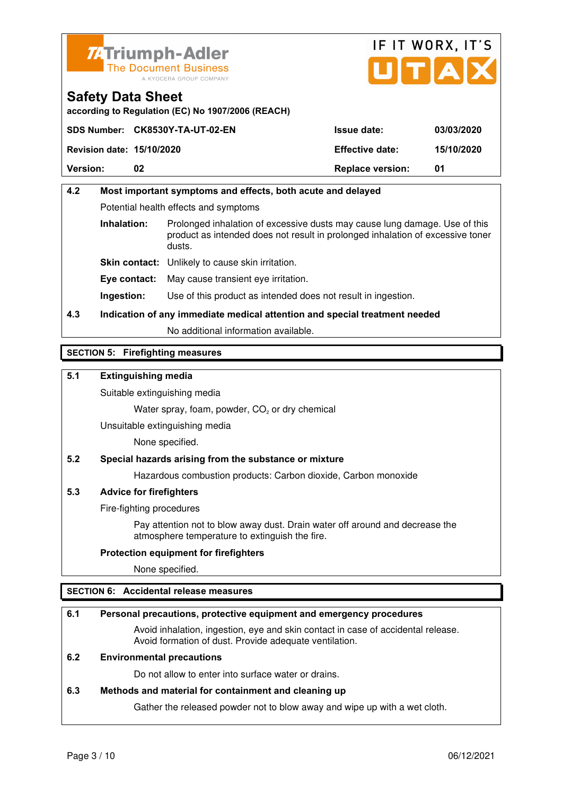



**according to Regulation (EC) No 1907/2006 (REACH)**

|                                  | SDS Number: CK8530Y-TA-UT-02-EN | <b>Issue date:</b>      | 03/03/2020 |
|----------------------------------|---------------------------------|-------------------------|------------|
| <b>Revision date: 15/10/2020</b> |                                 | <b>Effective date:</b>  | 15/10/2020 |
| <b>Version:</b>                  | 02                              | <b>Replace version:</b> | 01         |

# **4.2 Most important symptoms and effects, both acute and delayed**  Potential health effects and symptoms **Inhalation:** Prolonged inhalation of excessive dusts may cause lung damage. Use of this product as intended does not result in prolonged inhalation of excessive toner dusts. **Skin contact:** Unlikely to cause skin irritation. **Eye contact:** May cause transient eye irritation.

**Ingestion:** Use of this product as intended does not result in ingestion.

# **4.3 Indication of any immediate medical attention and special treatment needed**

No additional information available.

## **SECTION 5: Firefighting measures**

## **5.1 Extinguishing media**

Suitable extinguishing media

Water spray, foam, powder,  $CO<sub>2</sub>$  or dry chemical

Unsuitable extinguishing media

None specified.

#### **5.2 Special hazards arising from the substance or mixture**

Hazardous combustion products: Carbon dioxide, Carbon monoxide

#### **5.3 Advice for firefighters**

Fire-fighting procedures

 Pay attention not to blow away dust. Drain water off around and decrease the atmosphere temperature to extinguish the fire.

#### **Protection equipment for firefighters**

None specified.

#### **SECTION 6: Accidental release measures**

#### **6.1 Personal precautions, protective equipment and emergency procedures**

 Avoid inhalation, ingestion, eye and skin contact in case of accidental release. Avoid formation of dust. Provide adequate ventilation.

#### **6.2 Environmental precautions**

Do not allow to enter into surface water or drains.

#### **6.3 Methods and material for containment and cleaning up**

Gather the released powder not to blow away and wipe up with a wet cloth.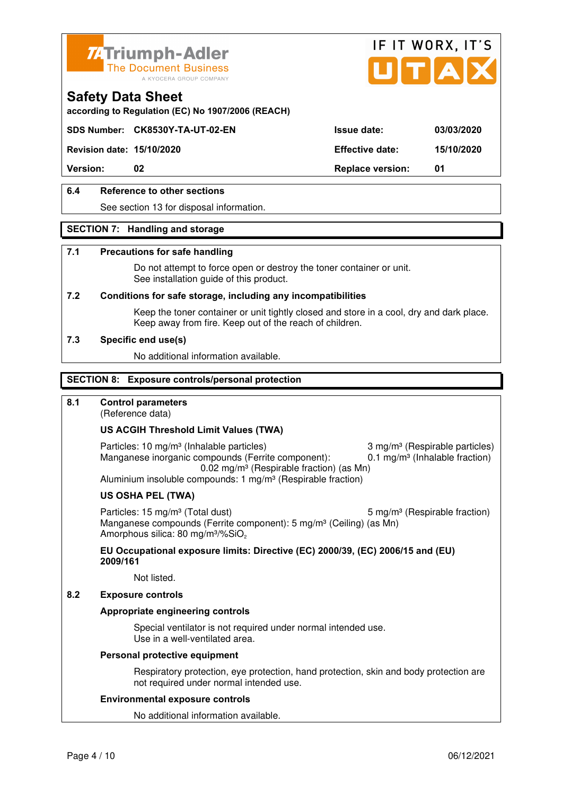



**according to Regulation (EC) No 1907/2006 (REACH)**

# **SDS Number: CK8530Y-TA-UT-02-EN Issue date: 03/03/2020**

**Revision date: 15/10/2020 Effective date: 15/10/2020** 

**Version:** 02 **Replace version:** 01

# **6.4 Reference to other sections**

See section 13 for disposal information.

#### **SECTION 7: Handling and storage**

#### **7.1 Precautions for safe handling**

 Do not attempt to force open or destroy the toner container or unit. See installation guide of this product.

#### **7.2 Conditions for safe storage, including any incompatibilities**

Keep the toner container or unit tightly closed and store in a cool, dry and dark place. Keep away from fire. Keep out of the reach of children.

#### **7.3 Specific end use(s)**

No additional information available.

#### **SECTION 8: Exposure controls/personal protection**

#### **8.1 Control parameters**

(Reference data)

#### **US ACGIH Threshold Limit Values (TWA)**

Particles: 10 mg/m<sup>3</sup> (Inhalable particles) 3 mg/m<sup>3</sup> (Respirable particles) Manganese inorganic compounds (Ferrite component):  $0.1 \text{ mg/m}^3$  (Inhalable fraction) 0.02 mg/m³ (Respirable fraction) (as Mn) Aluminium insoluble compounds: 1 mg/m<sup>3</sup> (Respirable fraction)

#### **US OSHA PEL (TWA)**

Particles: 15 mg/m<sup>3</sup> (Total dust) 5 mg/m<sup>3</sup> (Respirable fraction) Manganese compounds (Ferrite component): 5 mg/m<sup>3</sup> (Ceiling) (as Mn) Amorphous silica: 80 mg/m<sup>3</sup>/%SiO<sub>2</sub>

#### **EU Occupational exposure limits: Directive (EC) 2000/39, (EC) 2006/15 and (EU) 2009/161**

Not listed.

#### **8.2 Exposure controls**

#### **Appropriate engineering controls**

 Special ventilator is not required under normal intended use. Use in a well-ventilated area.

#### **Personal protective equipment**

 Respiratory protection, eye protection, hand protection, skin and body protection are not required under normal intended use.

#### **Environmental exposure controls**

No additional information available.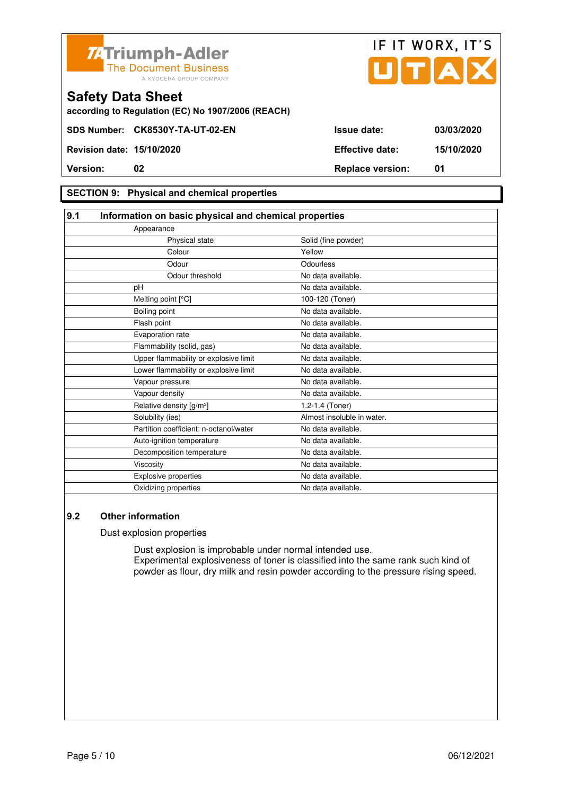



**according to Regulation (EC) No 1907/2006 (REACH)**

#### **SECTION 9: Physical and chemical properties**

#### **9.1 Information on basic physical and chemical properties** Appearance Physical state Solid (fine powder) **Colour Colour Vellow** Odour **Odourless** Odour threshold No data available. pH No data available. Melting point [°C] 100-120 (Toner) Boiling point No data available. Flash point **No data available.** Evaporation rate **No assume that the Contract Contract Contract Contract Contract Contract Contract Contract Contract Contract Contract Contract Contract Contract Contract Contract Contract Contract Contract Contract Contr** Flammability (solid, gas) No data available. Upper flammability or explosive limit No data available. Lower flammability or explosive limit No data available. Vapour pressure No data available. Vapour density **No data available.** Relative density  $[g/m^3]$  1.2-1.4 (Toner) Solubility (ies) Almost insoluble in water. Partition coefficient: n-octanol/water No data available. Auto-ignition temperature No data available. Decomposition temperature No data available. Viscosity **No data available.** Explosive properties **No data available**. Oxidizing properties No data available.

#### **9.2 Other information**

Dust explosion properties

 Dust explosion is improbable under normal intended use. Experimental explosiveness of toner is classified into the same rank such kind of powder as flour, dry milk and resin powder according to the pressure rising speed.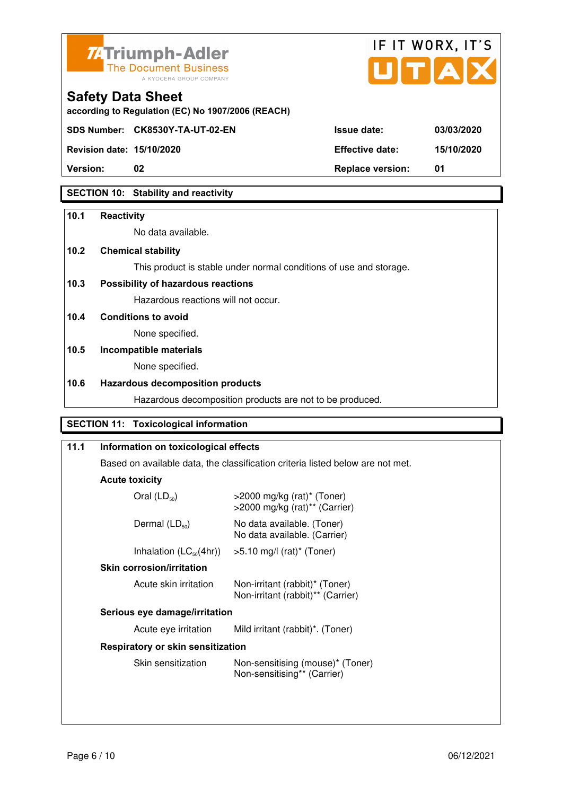



**according to Regulation (EC) No 1907/2006 (REACH)**

**Revision date: 15/10/2020 Effective date: 15/10/2020** 

**Safety Data Sheet** 

**Version:** 02 **Replace version:** 01

# **SECTION 10: Stability and reactivity**

## **10.1 Reactivity**

No data available.

# **10.2 Chemical stability**

This product is stable under normal conditions of use and storage.

# **10.3 Possibility of hazardous reactions**

Hazardous reactions will not occur.

**10.4 Conditions to avoid** 

None specified.

# **10.5 Incompatible materials**

None specified.

# **10.6 Hazardous decomposition products**

Hazardous decomposition products are not to be produced.

# **SECTION 11: Toxicological information**

| 11.1 | Information on toxicological effects                                           |                                                                               |
|------|--------------------------------------------------------------------------------|-------------------------------------------------------------------------------|
|      | Based on available data, the classification criteria listed below are not met. |                                                                               |
|      | <b>Acute toxicity</b>                                                          |                                                                               |
|      | Oral $(LD_{50})$                                                               | $>$ 2000 mg/kg (rat)* (Toner)<br>$>$ 2000 mg/kg (rat) <sup>**</sup> (Carrier) |
|      | Dermal $(LD_{50})$                                                             | No data available. (Toner)<br>No data available. (Carrier)                    |
|      | Inhalation $(LC_{50}(4hr))$                                                    | >5.10 mg/l (rat)* (Toner)                                                     |
|      | <b>Skin corrosion/irritation</b>                                               |                                                                               |
|      | Acute skin irritation                                                          | Non-irritant (rabbit)* (Toner)<br>Non-irritant (rabbit)** (Carrier)           |
|      | Serious eye damage/irritation                                                  |                                                                               |
|      | Acute eye irritation                                                           | Mild irritant (rabbit)*. (Toner)                                              |
|      | Respiratory or skin sensitization                                              |                                                                               |
|      | Skin sensitization                                                             | Non-sensitising (mouse)* (Toner)<br>Non-sensitising** (Carrier)               |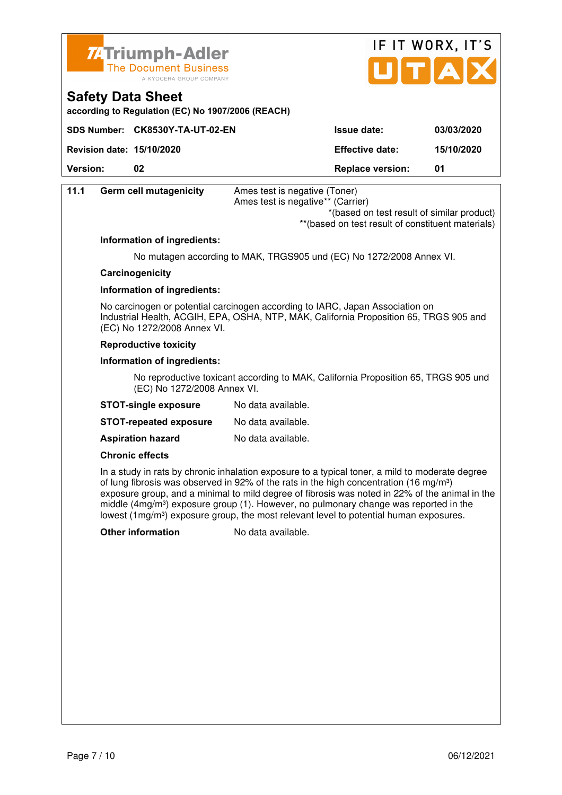



**according to Regulation (EC) No 1907/2006 (REACH)**

|                                  | SDS Number: CK8530Y-TA-UT-02-EN | <b>Issue date:</b>      | 03/03/2020 |
|----------------------------------|---------------------------------|-------------------------|------------|
| <b>Revision date: 15/10/2020</b> |                                 | <b>Effective date:</b>  | 15/10/2020 |
| <b>Version:</b>                  | 02                              | <b>Replace version:</b> | 01         |

| 11.1 | <b>Germ cell mutagenicity</b> | Ames test is negative (Toner)<br>Ames test is negative** (Carrier)                                                                                                      |
|------|-------------------------------|-------------------------------------------------------------------------------------------------------------------------------------------------------------------------|
|      |                               | *(based on test result of similar product)<br>** (based on test result of constituent materials)                                                                        |
|      | Information of ingredients:   |                                                                                                                                                                         |
|      |                               | No mutagen according to MAK, TRGS905 und (EC) No 1272/2008 Annex VI.                                                                                                    |
|      | Carcinogenicity               |                                                                                                                                                                         |
|      | Information of ingredients:   |                                                                                                                                                                         |
|      | (EC) No 1272/2008 Annex VI.   | No carcinogen or potential carcinogen according to IARC, Japan Association on<br>Industrial Health, ACGIH, EPA, OSHA, NTP, MAK, California Proposition 65, TRGS 905 and |
|      | <b>Reproductive toxicity</b>  |                                                                                                                                                                         |
|      |                               |                                                                                                                                                                         |

#### **Information of ingredients:**

 No reproductive toxicant according to MAK, California Proposition 65, TRGS 905 und (EC) No 1272/2008 Annex VI.

| <b>STOT-single exposure</b> | No data available. |
|-----------------------------|--------------------|
|-----------------------------|--------------------|

| <b>STOT-repeated exposure</b> | No data available. |
|-------------------------------|--------------------|
|-------------------------------|--------------------|

**Aspiration hazard** No data available.

#### **Chronic effects**

 In a study in rats by chronic inhalation exposure to a typical toner, a mild to moderate degree of lung fibrosis was observed in 92% of the rats in the high concentration (16 mg/m<sup>3</sup>) exposure group, and a minimal to mild degree of fibrosis was noted in 22% of the animal in the middle  $(4mg/m<sup>3</sup>)$  exposure group (1). However, no pulmonary change was reported in the lowest (1mg/m<sup>3</sup>) exposure group, the most relevant level to potential human exposures.

**Other information** No data available.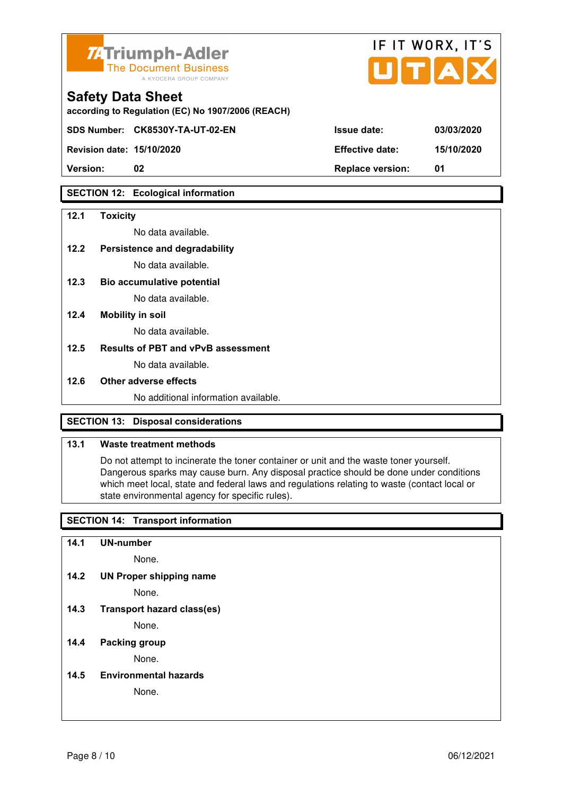

| <b>74 Triumph-Adler</b><br>The Document Business<br>A KYOCERA GROUP COMPANY   |                        | IF II WURX, II'S<br>UTAX |
|-------------------------------------------------------------------------------|------------------------|--------------------------|
| <b>Safety Data Sheet</b><br>according to Regulation (EC) No 1907/2006 (REACH) |                        |                          |
| SDS Number: CK8530Y-TA-UT-02-EN                                               | <b>Issue date:</b>     | 03/03/2020               |
| <b>Revision date: 15/10/2020</b>                                              | <b>Effective date:</b> | 15/10/2020               |

 $\mathbf{r} = \mathbf{r} + \mathbf{r}$ 

 $\rightarrow$ 

**Version: 02 Replace version: 01** 

#### **SECTION 12: Ecological information**

#### **12.1 Toxicity**

No data available.

## **12.2 Persistence and degradability**

No data available.

- **12.3 Bio accumulative potential**  No data available.
- **12.4 Mobility in soil**

No data available.

#### **12.5 Results of PBT and vPvB assessment**

No data available.

#### **12.6 Other adverse effects**

No additional information available.

#### **SECTION 13: Disposal considerations**

## **13.1 Waste treatment methods**

 Do not attempt to incinerate the toner container or unit and the waste toner yourself. Dangerous sparks may cause burn. Any disposal practice should be done under conditions which meet local, state and federal laws and regulations relating to waste (contact local or state environmental agency for specific rules).

#### **SECTION 14: Transport information**

**14.1 UN-number** 

None.

**14.2 UN Proper shipping name** 

None.

**14.3 Transport hazard class(es)** 

None.

#### **14.4 Packing group**

None.

**14.5 Environmental hazards** 

None.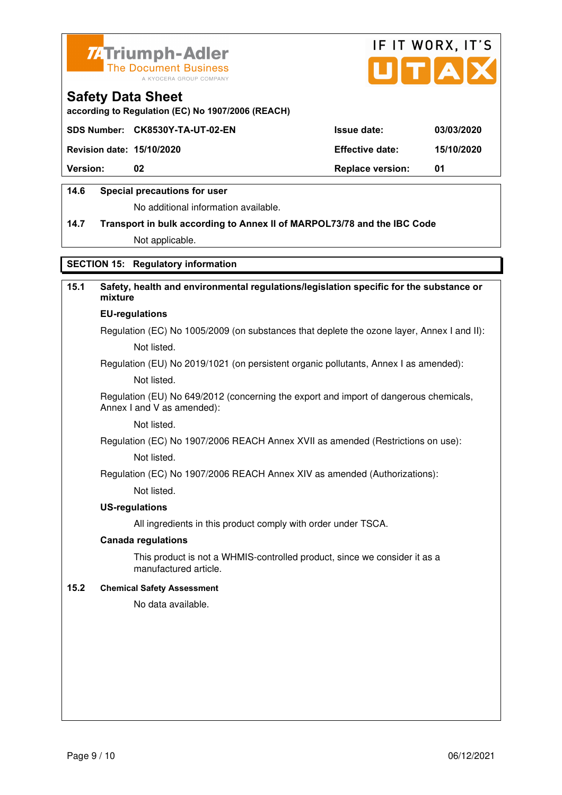



**according to Regulation (EC) No 1907/2006 (REACH)**

|                                  | SDS Number: CK8530Y-TA-UT-02-EN | <b>Issue date:</b>      | 03/03/2020 |
|----------------------------------|---------------------------------|-------------------------|------------|
| <b>Revision date: 15/10/2020</b> |                                 | <b>Effective date:</b>  | 15/10/2020 |
| <b>Version:</b>                  | 02                              | <b>Replace version:</b> | -01        |
|                                  |                                 |                         |            |

#### **14.6 Special precautions for user**

No additional information available.

# **14.7 Transport in bulk according to Annex II of MARPOL73/78 and the IBC Code**

Not applicable.

# **SECTION 15: Regulatory information**

# **15.1 Safety, health and environmental regulations/legislation specific for the substance or mixture EU-regulations**

Regulation (EC) No 1005/2009 (on substances that deplete the ozone layer, Annex I and II): Not listed.

Regulation (EU) No 2019/1021 (on persistent organic pollutants, Annex I as amended):

Not listed.

 Regulation (EU) No 649/2012 (concerning the export and import of dangerous chemicals, Annex I and V as amended):

Not listed.

 Regulation (EC) No 1907/2006 REACH Annex XVII as amended (Restrictions on use): Not listed.

Regulation (EC) No 1907/2006 REACH Annex XIV as amended (Authorizations):

Not listed.

#### **US-regulations**

All ingredients in this product comply with order under TSCA.

#### **Canada regulations**

 This product is not a WHMIS-controlled product, since we consider it as a manufactured article.

#### **15.2 Chemical Safety Assessment**

No data available.